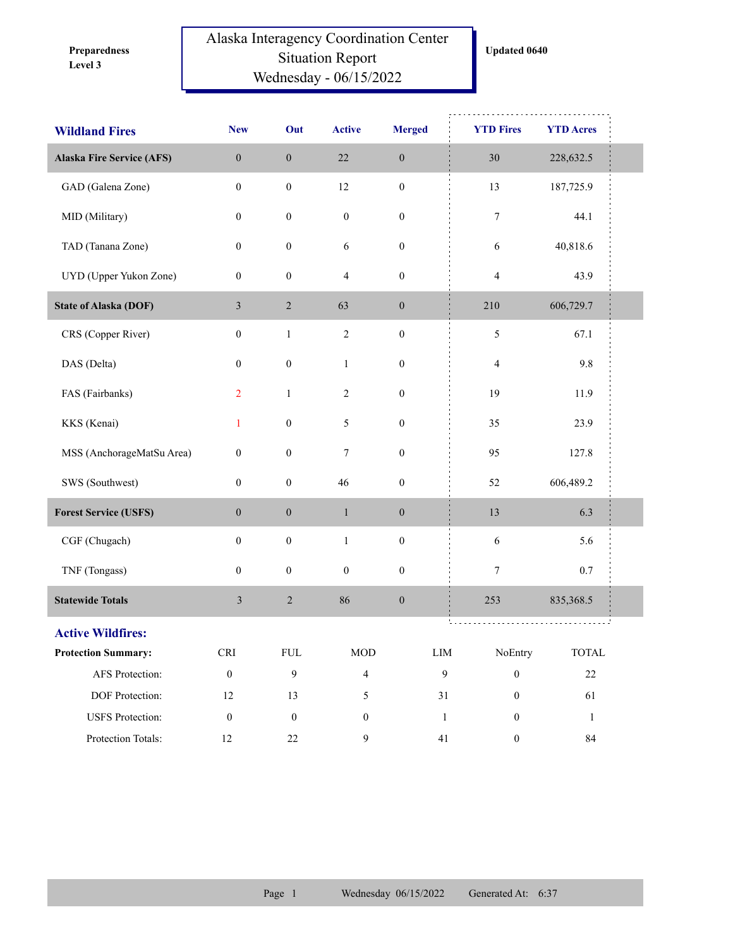**Level 3 Preparedness** 

## Alaska Interagency Coordination Center Situation Report Wednesday - 06/15/2022

**Updated 0640**

| <b>Wildland Fires</b>            | <b>New</b>       | Out              | <b>Active</b>    | <b>Merged</b>    | <b>YTD Fires</b>                 | <b>YTD Acres</b> |  |
|----------------------------------|------------------|------------------|------------------|------------------|----------------------------------|------------------|--|
| <b>Alaska Fire Service (AFS)</b> | $\boldsymbol{0}$ | $\boldsymbol{0}$ | $22\,$           | $\boldsymbol{0}$ | 30                               | 228,632.5        |  |
| GAD (Galena Zone)                | $\boldsymbol{0}$ | $\boldsymbol{0}$ | $12\,$           | $\boldsymbol{0}$ | 13                               | 187,725.9        |  |
| MID (Military)                   | $\boldsymbol{0}$ | $\boldsymbol{0}$ | $\boldsymbol{0}$ | $\boldsymbol{0}$ | 7                                | 44.1             |  |
| TAD (Tanana Zone)                | $\boldsymbol{0}$ | $\boldsymbol{0}$ | $\sqrt{6}$       | $\boldsymbol{0}$ | 6                                | 40,818.6         |  |
| UYD (Upper Yukon Zone)           | $\boldsymbol{0}$ | $\boldsymbol{0}$ | $\overline{4}$   | $\boldsymbol{0}$ | $\overline{4}$                   | 43.9             |  |
| <b>State of Alaska (DOF)</b>     | $\mathfrak{Z}$   | $\overline{c}$   | 63               | $\boldsymbol{0}$ | 210                              | 606,729.7        |  |
| CRS (Copper River)               | $\boldsymbol{0}$ | $\mathbf{1}$     | $\sqrt{2}$       | $\boldsymbol{0}$ | 5                                | 67.1             |  |
| DAS (Delta)                      | $\boldsymbol{0}$ | $\boldsymbol{0}$ | $\mathbf{1}$     | $\boldsymbol{0}$ | $\overline{4}$                   | 9.8              |  |
| FAS (Fairbanks)                  | $\overline{2}$   | $\mathbf{1}$     | 2                | $\boldsymbol{0}$ | 19                               | 11.9             |  |
| KKS (Kenai)                      | $\mathbf{1}$     | $\boldsymbol{0}$ | 5                | $\boldsymbol{0}$ | 35                               | 23.9             |  |
| MSS (AnchorageMatSu Area)        | $\boldsymbol{0}$ | $\boldsymbol{0}$ | $\tau$           | $\boldsymbol{0}$ | 95                               | 127.8            |  |
| SWS (Southwest)                  | $\boldsymbol{0}$ | $\boldsymbol{0}$ | 46               | $\boldsymbol{0}$ | 52                               | 606,489.2        |  |
| <b>Forest Service (USFS)</b>     | $\boldsymbol{0}$ | $\boldsymbol{0}$ | $\mathbf{1}$     | $\boldsymbol{0}$ | 13                               | 6.3              |  |
| CGF (Chugach)                    | $\boldsymbol{0}$ | $\boldsymbol{0}$ | $\mathbf{1}$     | $\boldsymbol{0}$ | $\sqrt{6}$                       | 5.6              |  |
| TNF (Tongass)                    | $\boldsymbol{0}$ | $\boldsymbol{0}$ | $\boldsymbol{0}$ | $\boldsymbol{0}$ | 7                                | $0.7\,$          |  |
| <b>Statewide Totals</b>          | $\mathfrak{Z}$   | $\sqrt{2}$       | 86               | $\boldsymbol{0}$ | 253                              | 835,368.5        |  |
| <b>Active Wildfires:</b>         |                  |                  |                  |                  |                                  |                  |  |
| <b>Protection Summary:</b>       | <b>CRI</b>       | FUL              | $\rm MOD$        | ${\rm LIM}$      | NoEntry                          | TOTAL            |  |
| AFS Protection:                  | $\boldsymbol{0}$ | 9                | $\overline{4}$   |                  | $\mathbf{9}$<br>$\boldsymbol{0}$ | $22\,$           |  |
| DOF Protection:                  | $12\,$           | 13               | 5                |                  | 31<br>$\boldsymbol{0}$           | 61               |  |
| <b>USFS</b> Protection:          | $\boldsymbol{0}$ | $\boldsymbol{0}$ | $\boldsymbol{0}$ |                  | $\mathbf{1}$<br>$\boldsymbol{0}$ | $\mathbf{1}$     |  |
| Protection Totals:               | 12               | 22               | 9                |                  | 41<br>$\boldsymbol{0}$           | $\rm 84$         |  |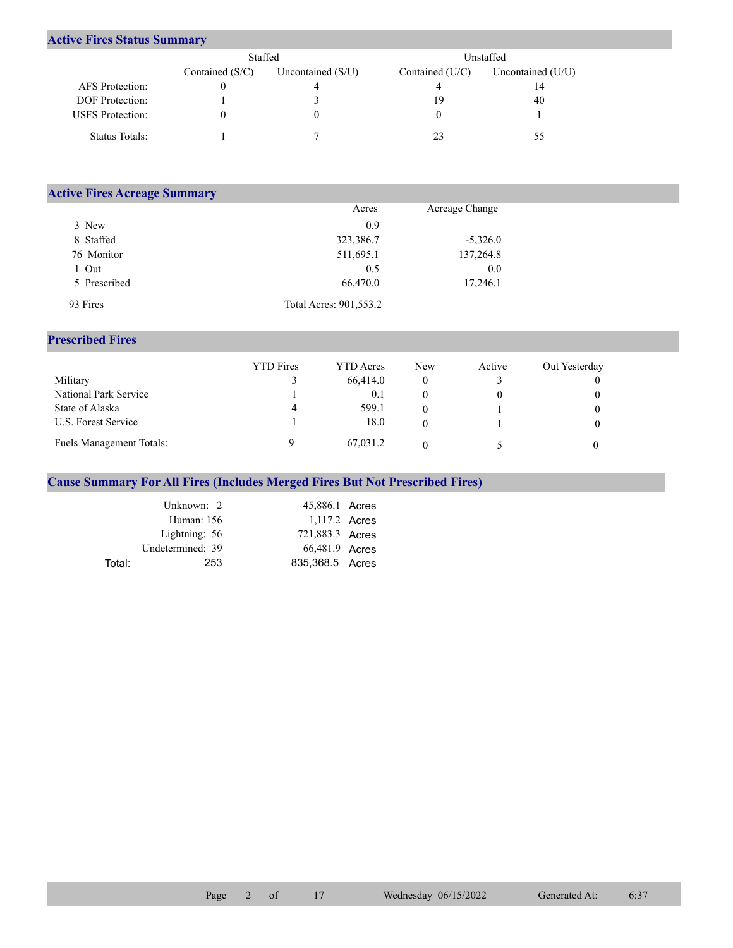## **Active Fires Status Summary**

|                         | Staffed           |                     | Unstaffed         |                     |  |  |
|-------------------------|-------------------|---------------------|-------------------|---------------------|--|--|
|                         | Contained $(S/C)$ | Uncontained $(S/U)$ | Contained $(U/C)$ | Uncontained $(U/U)$ |  |  |
| AFS Protection:         |                   |                     |                   | 14                  |  |  |
| <b>DOF</b> Protection:  |                   |                     | 19                | 40                  |  |  |
| <b>USFS</b> Protection: |                   | 0                   |                   |                     |  |  |
| Status Totals:          |                   |                     |                   |                     |  |  |

| <b>Active Fires Acreage Summary</b> |                        |                |  |
|-------------------------------------|------------------------|----------------|--|
|                                     | Acres                  | Acreage Change |  |
| 3 New                               | 0.9                    |                |  |
| 8 Staffed                           | 323,386.7              | $-5,326.0$     |  |
| 76 Monitor                          | 511,695.1              | 137,264.8      |  |
| 1 Out                               | 0.5                    | 0.0            |  |
| 5 Prescribed                        | 66,470.0               | 17,246.1       |  |
| 93 Fires                            | Total Acres: 901,553.2 |                |  |

## **Prescribed Fires**

|                                 | <b>YTD</b> Fires | <b>YTD</b> Acres | <b>New</b> | Active | Out Yesterday |
|---------------------------------|------------------|------------------|------------|--------|---------------|
| Military                        |                  | 66,414.0         |            |        |               |
| National Park Service           |                  | 0.1              |            |        |               |
| State of Alaska                 | 4                | 599.1            |            |        |               |
| U.S. Forest Service             |                  | 18.0             |            |        |               |
| <b>Fuels Management Totals:</b> |                  | 67,031.2         |            |        |               |

## **Cause Summary For All Fires (Includes Merged Fires But Not Prescribed Fires)**

|        | Unknown: 2       | 45,886.1 Acres  |  |
|--------|------------------|-----------------|--|
|        | Human: 156       | 1,117.2 Acres   |  |
|        | Lightning: 56    | 721,883.3 Acres |  |
|        | Undetermined: 39 | 66,481.9 Acres  |  |
| Total: | 253              | 835,368.5 Acres |  |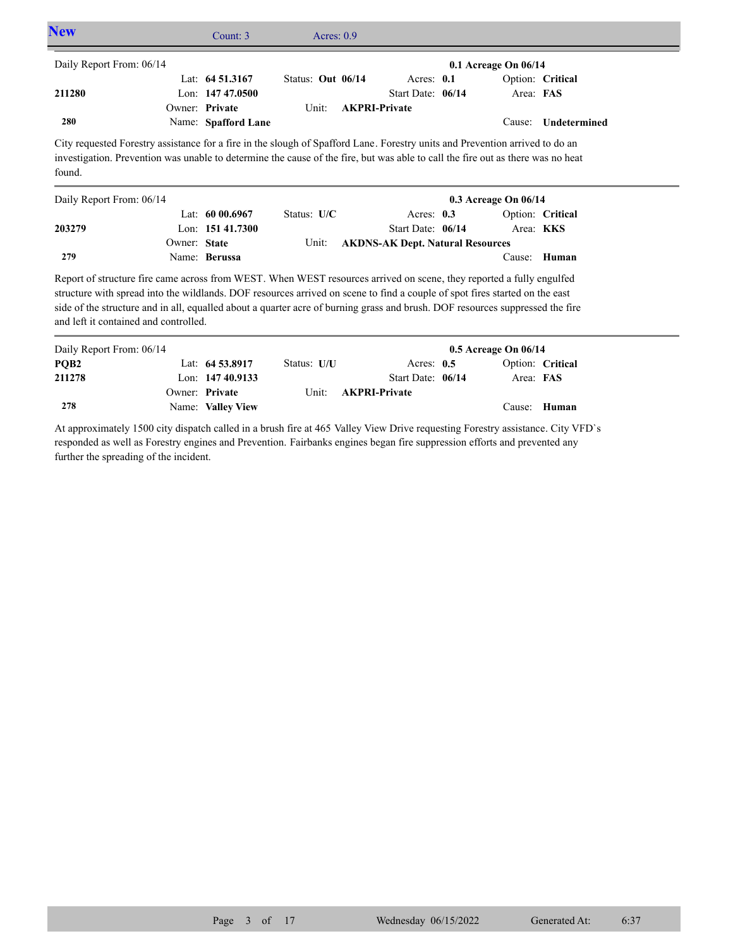| <b>New</b>                                                                                                                                                                                                                                                                                                                                                                                                                    |              | Count: 3            | Acres: $0.9$      |  |                                         |  |                      |                  |
|-------------------------------------------------------------------------------------------------------------------------------------------------------------------------------------------------------------------------------------------------------------------------------------------------------------------------------------------------------------------------------------------------------------------------------|--------------|---------------------|-------------------|--|-----------------------------------------|--|----------------------|------------------|
| Daily Report From: 06/14                                                                                                                                                                                                                                                                                                                                                                                                      |              |                     |                   |  |                                         |  | 0.1 Acreage On 06/14 |                  |
|                                                                                                                                                                                                                                                                                                                                                                                                                               |              | Lat: $64\,51.3167$  | Status: Out 06/14 |  | Acres: 0.1                              |  |                      | Option: Critical |
| 211280                                                                                                                                                                                                                                                                                                                                                                                                                        |              | Lon: 147 47,0500    |                   |  | Start Date: 06/14                       |  | Area: FAS            |                  |
|                                                                                                                                                                                                                                                                                                                                                                                                                               |              | Owner: Private      | Unit:             |  | <b>AKPRI-Private</b>                    |  |                      |                  |
| 280                                                                                                                                                                                                                                                                                                                                                                                                                           |              | Name: Spafford Lane |                   |  |                                         |  | Cause:               | Undetermined     |
| City requested Forestry assistance for a fire in the slough of Spafford Lane. Forestry units and Prevention arrived to do an<br>investigation. Prevention was unable to determine the cause of the fire, but was able to call the fire out as there was no heat<br>found.                                                                                                                                                     |              |                     |                   |  |                                         |  |                      |                  |
| Daily Report From: 06/14<br>0.3 Acreage On 06/14                                                                                                                                                                                                                                                                                                                                                                              |              |                     |                   |  |                                         |  |                      |                  |
|                                                                                                                                                                                                                                                                                                                                                                                                                               |              | Lat: $6000.6967$    | Status: U/C       |  | Acres: 0.3                              |  |                      | Option: Critical |
| 203279                                                                                                                                                                                                                                                                                                                                                                                                                        |              | Lon: 151 41.7300    |                   |  | Start Date: 06/14                       |  |                      | Area: KKS        |
|                                                                                                                                                                                                                                                                                                                                                                                                                               | Owner: State |                     | Unit:             |  | <b>AKDNS-AK Dept. Natural Resources</b> |  |                      |                  |
| 279                                                                                                                                                                                                                                                                                                                                                                                                                           |              | Name: Berussa       |                   |  |                                         |  |                      | Cause: Human     |
| Report of structure fire came across from WEST. When WEST resources arrived on scene, they reported a fully engulfed<br>structure with spread into the wildlands. DOF resources arrived on scene to find a couple of spot fires started on the east<br>side of the structure and in all, equalled about a quarter acre of burning grass and brush. DOF resources suppressed the fire<br>and left it contained and controlled. |              |                     |                   |  |                                         |  |                      |                  |
| Daily Report From: 06/14                                                                                                                                                                                                                                                                                                                                                                                                      |              |                     |                   |  |                                         |  | 0.5 Acreage On 06/14 |                  |
| PQB <sub>2</sub>                                                                                                                                                                                                                                                                                                                                                                                                              |              | Lat: 64 53.8917     | Status: U/U       |  | Acres: $0.5$                            |  |                      | Option: Critical |
| 211278                                                                                                                                                                                                                                                                                                                                                                                                                        |              | Lon: $14740.9133$   |                   |  | Start Date: 06/14                       |  | Area: FAS            |                  |
|                                                                                                                                                                                                                                                                                                                                                                                                                               |              | Owner: Private      | Unit:             |  | <b>AKPRI-Private</b>                    |  |                      |                  |
| 278                                                                                                                                                                                                                                                                                                                                                                                                                           |              | Name: Valley View   |                   |  |                                         |  |                      | Cause: Human     |

At approximately 1500 city dispatch called in a brush fire at 465 Valley View Drive requesting Forestry assistance. City VFD`s responded as well as Forestry engines and Prevention. Fairbanks engines began fire suppression efforts and prevented any further the spreading of the incident.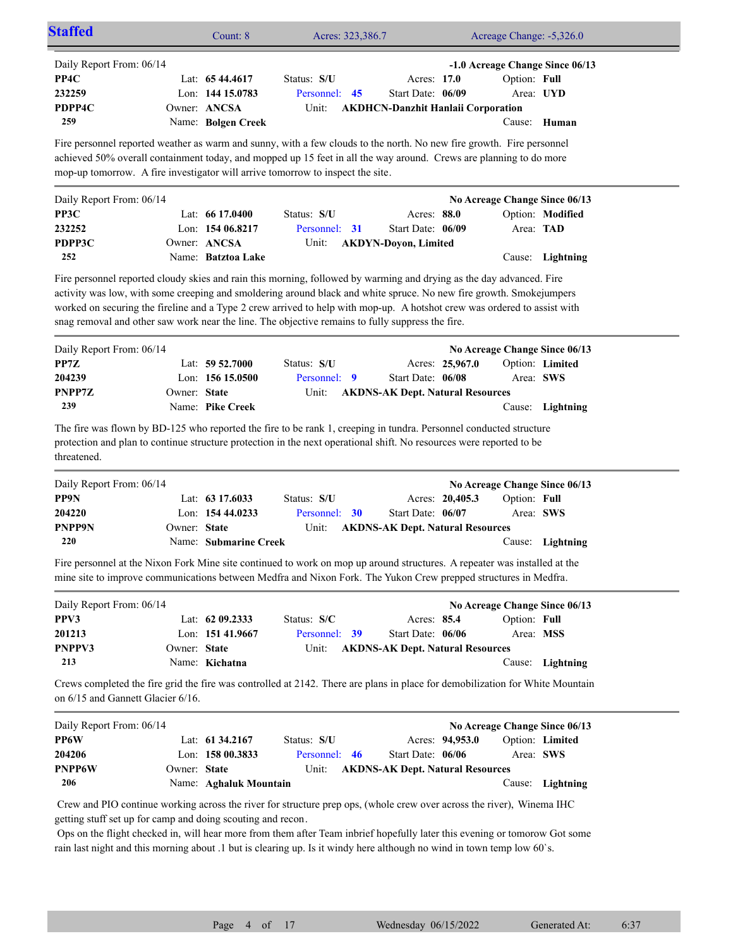| <b>Staffed</b>                                                                                                                                                                                                                                                                                                                                                                                                                               |              | Count: 8               | Acres: 323,386.7 |    |                                           |                 | Acreage Change: -5,326.0 |                                 |  |
|----------------------------------------------------------------------------------------------------------------------------------------------------------------------------------------------------------------------------------------------------------------------------------------------------------------------------------------------------------------------------------------------------------------------------------------------|--------------|------------------------|------------------|----|-------------------------------------------|-----------------|--------------------------|---------------------------------|--|
| Daily Report From: 06/14                                                                                                                                                                                                                                                                                                                                                                                                                     |              |                        |                  |    |                                           |                 |                          | -1.0 Acreage Change Since 06/13 |  |
| PP4C                                                                                                                                                                                                                                                                                                                                                                                                                                         |              | Lat: 65 44.4617        | Status: S/U      |    | Acres: 17.0                               |                 | Option: Full             |                                 |  |
| 232259                                                                                                                                                                                                                                                                                                                                                                                                                                       |              | Lon: 144 15.0783       | Personnel:       | 45 | Start Date: 06/09                         |                 | Area: UYD                |                                 |  |
| PDPP4C                                                                                                                                                                                                                                                                                                                                                                                                                                       |              | Owner: ANCSA           | Unit:            |    | <b>AKDHCN-Danzhit Hanlaii Corporation</b> |                 |                          |                                 |  |
| 259                                                                                                                                                                                                                                                                                                                                                                                                                                          |              | Name: Bolgen Creek     |                  |    |                                           |                 |                          | Cause: Human                    |  |
|                                                                                                                                                                                                                                                                                                                                                                                                                                              |              |                        |                  |    |                                           |                 |                          |                                 |  |
| Fire personnel reported weather as warm and sunny, with a few clouds to the north. No new fire growth. Fire personnel<br>achieved 50% overall containment today, and mopped up 15 feet in all the way around. Crews are planning to do more<br>mop-up tomorrow. A fire investigator will arrive tomorrow to inspect the site.                                                                                                                |              |                        |                  |    |                                           |                 |                          |                                 |  |
| Daily Report From: 06/14                                                                                                                                                                                                                                                                                                                                                                                                                     |              |                        |                  |    |                                           |                 |                          | No Acreage Change Since 06/13   |  |
| PP3C                                                                                                                                                                                                                                                                                                                                                                                                                                         |              | Lat: $6617.0400$       | Status: S/U      |    | Acres: 88.0                               |                 |                          | Option: Modified                |  |
| 232252                                                                                                                                                                                                                                                                                                                                                                                                                                       |              | Lon: $15406.8217$      | Personnel: 31    |    | Start Date: 06/09                         |                 | Area: TAD                |                                 |  |
| PDPP3C                                                                                                                                                                                                                                                                                                                                                                                                                                       |              | Owner: ANCSA           | Unit:            |    | <b>AKDYN-Doyon, Limited</b>               |                 |                          |                                 |  |
| 252                                                                                                                                                                                                                                                                                                                                                                                                                                          |              | Name: Batztoa Lake     |                  |    |                                           |                 | Cause:                   | Lightning                       |  |
|                                                                                                                                                                                                                                                                                                                                                                                                                                              |              |                        |                  |    |                                           |                 |                          |                                 |  |
| Fire personnel reported cloudy skies and rain this morning, followed by warming and drying as the day advanced. Fire                                                                                                                                                                                                                                                                                                                         |              |                        |                  |    |                                           |                 |                          |                                 |  |
| activity was low, with some creeping and smoldering around black and white spruce. No new fire growth. Smokejumpers                                                                                                                                                                                                                                                                                                                          |              |                        |                  |    |                                           |                 |                          |                                 |  |
| worked on securing the fireline and a Type 2 crew arrived to help with mop-up. A hotshot crew was ordered to assist with                                                                                                                                                                                                                                                                                                                     |              |                        |                  |    |                                           |                 |                          |                                 |  |
| snag removal and other saw work near the line. The objective remains to fully suppress the fire.                                                                                                                                                                                                                                                                                                                                             |              |                        |                  |    |                                           |                 |                          |                                 |  |
| Daily Report From: 06/14                                                                                                                                                                                                                                                                                                                                                                                                                     |              |                        |                  |    |                                           |                 |                          | No Acreage Change Since 06/13   |  |
| PP7Z                                                                                                                                                                                                                                                                                                                                                                                                                                         |              | Lat: $59\,52.7000$     | Status: S/U      |    |                                           | Acres: 25,967.0 |                          | Option: Limited                 |  |
| 204239                                                                                                                                                                                                                                                                                                                                                                                                                                       |              | Lon: 156 15.0500       | Personnel: 9     |    | Start Date: 06/08                         |                 | Area: SWS                |                                 |  |
| PNPP7Z                                                                                                                                                                                                                                                                                                                                                                                                                                       | Owner: State |                        | Unit:            |    |                                           |                 |                          |                                 |  |
| 239                                                                                                                                                                                                                                                                                                                                                                                                                                          |              | Name: Pike Creek       |                  |    | <b>AKDNS-AK Dept. Natural Resources</b>   |                 |                          |                                 |  |
|                                                                                                                                                                                                                                                                                                                                                                                                                                              |              |                        |                  |    |                                           |                 |                          | Cause: Lightning                |  |
| The fire was flown by BD-125 who reported the fire to be rank 1, creeping in tundra. Personnel conducted structure<br>protection and plan to continue structure protection in the next operational shift. No resources were reported to be<br>threatened.                                                                                                                                                                                    |              |                        |                  |    |                                           |                 |                          |                                 |  |
| Daily Report From: 06/14                                                                                                                                                                                                                                                                                                                                                                                                                     |              |                        |                  |    |                                           |                 |                          | No Acreage Change Since 06/13   |  |
| PP9N                                                                                                                                                                                                                                                                                                                                                                                                                                         |              | Lat: 63 17.6033        | Status: S/U      |    |                                           | Acres: 20,405.3 | Option: Full             |                                 |  |
| 204220                                                                                                                                                                                                                                                                                                                                                                                                                                       |              | Lon: 154 44.0233       | Personnel: 30    |    | Start Date: 06/07                         |                 | Area: SWS                |                                 |  |
| <b>PNPP9N</b>                                                                                                                                                                                                                                                                                                                                                                                                                                | Owner: State |                        | Unit:            |    | <b>AKDNS-AK Dept. Natural Resources</b>   |                 |                          |                                 |  |
| 220                                                                                                                                                                                                                                                                                                                                                                                                                                          |              | Name: Submarine Creek  |                  |    |                                           |                 |                          | Cause: Lightning                |  |
| Fire personnel at the Nixon Fork Mine site continued to work on mop up around structures. A repeater was installed at the<br>mine site to improve communications between Medfra and Nixon Fork. The Yukon Crew prepped structures in Medfra.                                                                                                                                                                                                 |              |                        |                  |    |                                           |                 |                          |                                 |  |
| Daily Report From: 06/14                                                                                                                                                                                                                                                                                                                                                                                                                     |              |                        |                  |    |                                           |                 |                          | No Acreage Change Since 06/13   |  |
| PPV3                                                                                                                                                                                                                                                                                                                                                                                                                                         |              | Lat: 62 09.2333        | Status: S/C      |    | Acres: 85.4                               |                 | Option: Full             |                                 |  |
| 201213                                                                                                                                                                                                                                                                                                                                                                                                                                       |              | Lon: 151 41.9667       | Personnel: 39    |    | Start Date: 06/06                         |                 | Area: MSS                |                                 |  |
| PNPPV3                                                                                                                                                                                                                                                                                                                                                                                                                                       | Owner: State |                        | Unit:            |    | <b>AKDNS-AK Dept. Natural Resources</b>   |                 |                          |                                 |  |
| 213                                                                                                                                                                                                                                                                                                                                                                                                                                          |              | Name: Kichatna         |                  |    |                                           |                 |                          | Cause: Lightning                |  |
| Crews completed the fire grid the fire was controlled at 2142. There are plans in place for demobilization for White Mountain<br>on 6/15 and Gannett Glacier 6/16.                                                                                                                                                                                                                                                                           |              |                        |                  |    |                                           |                 |                          |                                 |  |
| Daily Report From: 06/14                                                                                                                                                                                                                                                                                                                                                                                                                     |              |                        |                  |    |                                           |                 |                          | No Acreage Change Since 06/13   |  |
| PP6W                                                                                                                                                                                                                                                                                                                                                                                                                                         |              | Lat: 61 34.2167        | Status: S/U      |    |                                           | Acres: 94,953.0 |                          | Option: Limited                 |  |
| 204206                                                                                                                                                                                                                                                                                                                                                                                                                                       |              | Lon: 158 00.3833       | Personnel: 46    |    | Start Date: 06/06                         |                 | Area: SWS                |                                 |  |
| <b>PNPP6W</b>                                                                                                                                                                                                                                                                                                                                                                                                                                | Owner: State |                        | Unit:            |    | <b>AKDNS-AK Dept. Natural Resources</b>   |                 |                          |                                 |  |
| 206                                                                                                                                                                                                                                                                                                                                                                                                                                          |              | Name: Aghaluk Mountain |                  |    |                                           |                 |                          | Cause: Lightning                |  |
| Crew and PIO continue working across the river for structure prep ops, (whole crew over across the river), Winema IHC<br>getting stuff set up for camp and doing scouting and recon.<br>Ops on the flight checked in, will hear more from them after Team inbrief hopefully later this evening or tomorow Got some<br>rain last night and this morning about .1 but is clearing up. Is it windy here although no wind in town temp low 60's. |              |                        |                  |    |                                           |                 |                          |                                 |  |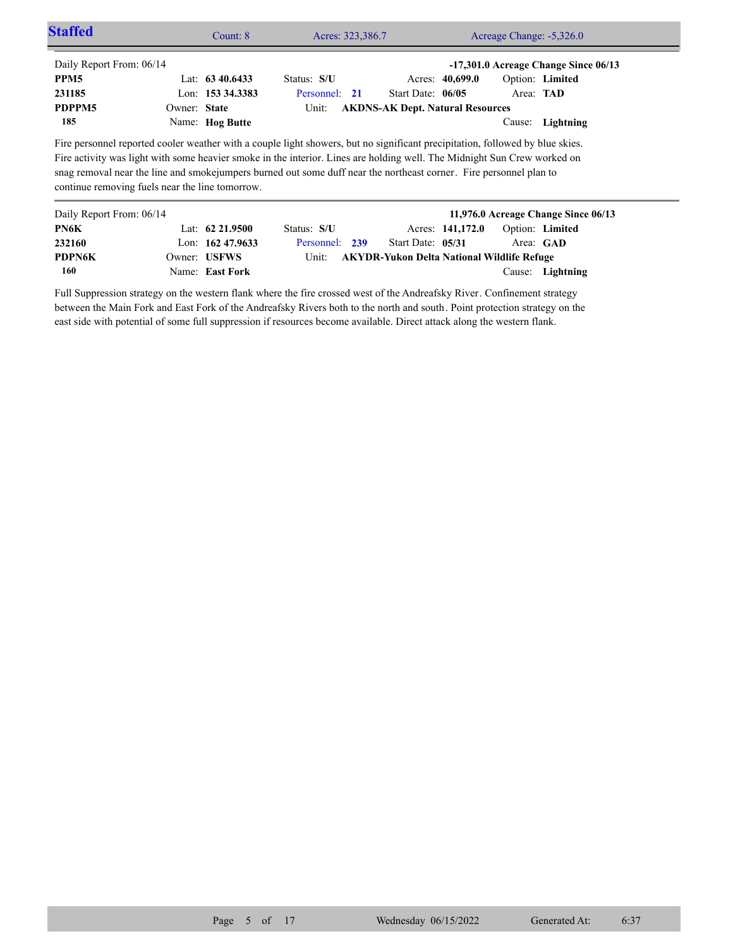| <b>Staffed</b>                                                                                                                                                                                                                                                                                                                                                                                                                      |              | Count: $8$         | Acres: 323,386.7 |                     |                                         | Acreage Change: -5,326.0 |                                          |
|-------------------------------------------------------------------------------------------------------------------------------------------------------------------------------------------------------------------------------------------------------------------------------------------------------------------------------------------------------------------------------------------------------------------------------------|--------------|--------------------|------------------|---------------------|-----------------------------------------|--------------------------|------------------------------------------|
| Daily Report From: 06/14                                                                                                                                                                                                                                                                                                                                                                                                            |              |                    |                  |                     |                                         |                          | $-17,301.0$ Acreage Change Since $06/13$ |
| PPM <sub>5</sub>                                                                                                                                                                                                                                                                                                                                                                                                                    |              | Lat: $63\,40.6433$ | Status: S/U      |                     | Acres: 40,699.0                         |                          | Option: Limited                          |
| 231185                                                                                                                                                                                                                                                                                                                                                                                                                              |              | Lon: 153 34.3383   | Personnel: 21    | Start Date: $06/05$ |                                         | Area: <b>TAD</b>         |                                          |
| PDPPM5                                                                                                                                                                                                                                                                                                                                                                                                                              | Owner: State |                    | Unit:            |                     | <b>AKDNS-AK Dept. Natural Resources</b> |                          |                                          |
| 185                                                                                                                                                                                                                                                                                                                                                                                                                                 |              | Name: Hog Butte    |                  |                     |                                         | Cause:                   | Lightning                                |
| Fire personnel reported cooler weather with a couple light showers, but no significant precipitation, followed by blue skies.<br>Fire activity was light with some heavier smoke in the interior. Lines are holding well. The Midnight Sun Crew worked on<br>snag removal near the line and smoke jumpers burned out some duff near the northeast corner. Fire personnel plan to<br>continue removing fuels near the line tomorrow. |              |                    |                  |                     |                                         |                          |                                          |
| Daily Report From: 06/14                                                                                                                                                                                                                                                                                                                                                                                                            |              |                    |                  |                     |                                         |                          | 11,976.0 Acreage Change Since 06/13      |
| PN6K                                                                                                                                                                                                                                                                                                                                                                                                                                |              | Lat: $62\,21.9500$ | Status: S/U      |                     | Acres: 141,172.0                        |                          | Option: Limited                          |
| 232160                                                                                                                                                                                                                                                                                                                                                                                                                              |              | Lon: $16247.9633$  | Personnel: 239   | Start Date: 05/31   |                                         |                          | Area: GAD                                |

Unit: **AKYDR-Yukon Delta National Wildlife Refuge** 

Full Suppression strategy on the western flank where the fire crossed west of the Andreafsky River. Confinement strategy between the Main Fork and East Fork of the Andreafsky Rivers both to the north and south. Point protection strategy on the east side with potential of some full suppression if resources become available. Direct attack along the western flank.

Name: **East Fork**

Owner: USFWS

**160 PDPN6K**

Cause: **Lightning**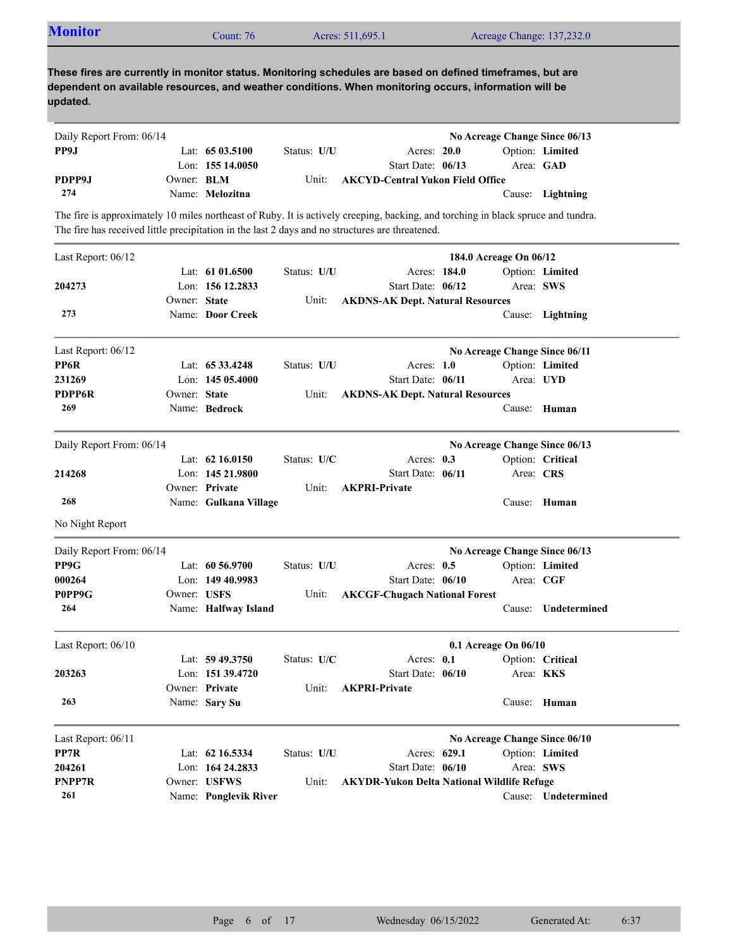| <b>Monitor</b>           |                   | Count: 76                           |             | Acres: 511,695.1                                                                                                                                                                                                                    |              | Acreage Change: 137,232.0     |                              |
|--------------------------|-------------------|-------------------------------------|-------------|-------------------------------------------------------------------------------------------------------------------------------------------------------------------------------------------------------------------------------------|--------------|-------------------------------|------------------------------|
| updated.                 |                   |                                     |             | These fires are currently in monitor status. Monitoring schedules are based on defined timeframes, but are<br>dependent on available resources, and weather conditions. When monitoring occurs, information will be                 |              |                               |                              |
| Daily Report From: 06/14 |                   |                                     |             |                                                                                                                                                                                                                                     |              | No Acreage Change Since 06/13 |                              |
| PP9J                     |                   | Lat: 65 03.5100<br>Lon: 155 14.0050 | Status: U/U | Acres: 20.0<br>Start Date: 06/13                                                                                                                                                                                                    |              |                               | Option: Limited<br>Area: GAD |
| PDPP9J                   | Owner: <b>BLM</b> |                                     | Unit:       | <b>AKCYD-Central Yukon Field Office</b>                                                                                                                                                                                             |              |                               |                              |
| 274                      |                   | Name: Melozitna                     |             |                                                                                                                                                                                                                                     |              |                               | Cause: Lightning             |
|                          |                   |                                     |             | The fire is approximately 10 miles northeast of Ruby. It is actively creeping, backing, and torching in black spruce and tundra.<br>The fire has received little precipitation in the last 2 days and no structures are threatened. |              |                               |                              |
| Last Report: 06/12       |                   |                                     |             |                                                                                                                                                                                                                                     |              | 184.0 Acreage On 06/12        |                              |
|                          |                   | Lat: $6101.6500$                    | Status: U/U |                                                                                                                                                                                                                                     | Acres: 184.0 |                               | Option: Limited              |
| 204273                   |                   | Lon: 156 12.2833                    |             | Start Date: 06/12                                                                                                                                                                                                                   |              |                               | Area: SWS                    |
|                          | Owner: State      |                                     | Unit:       | <b>AKDNS-AK Dept. Natural Resources</b>                                                                                                                                                                                             |              |                               |                              |
| 273                      |                   | Name: Door Creek                    |             |                                                                                                                                                                                                                                     |              |                               | Cause: Lightning             |
| Last Report: 06/12       |                   |                                     |             |                                                                                                                                                                                                                                     |              | No Acreage Change Since 06/11 |                              |
| PP6R                     |                   | Lat: 65 33.4248                     | Status: U/U | Acres: $1.0$                                                                                                                                                                                                                        |              |                               | Option: Limited              |
| 231269                   |                   | Lon: $14505.4000$                   |             | Start Date: 06/11                                                                                                                                                                                                                   |              |                               | Area: UYD                    |
| <b>PDPP6R</b>            | Owner: State      |                                     | Unit:       | <b>AKDNS-AK Dept. Natural Resources</b>                                                                                                                                                                                             |              |                               |                              |
| 269                      |                   | Name: Bedrock                       |             |                                                                                                                                                                                                                                     |              |                               | Cause: Human                 |
| Daily Report From: 06/14 |                   |                                     |             |                                                                                                                                                                                                                                     |              | No Acreage Change Since 06/13 |                              |
|                          |                   | Lat: $62\,16.0150$                  | Status: U/C | Acres: $0.3$                                                                                                                                                                                                                        |              |                               | Option: Critical             |
| 214268                   |                   | Lon: 145 21.9800                    |             | Start Date: 06/11                                                                                                                                                                                                                   |              | Area: CRS                     |                              |
|                          |                   | Owner: Private                      | Unit:       | <b>AKPRI-Private</b>                                                                                                                                                                                                                |              |                               |                              |
| 268                      |                   | Name: Gulkana Village               |             |                                                                                                                                                                                                                                     |              |                               | Cause: Human                 |
| No Night Report          |                   |                                     |             |                                                                                                                                                                                                                                     |              |                               |                              |
| Daily Report From: 06/14 |                   |                                     |             |                                                                                                                                                                                                                                     |              | No Acreage Change Since 06/13 |                              |
| PP9G                     |                   | Lat: 60 56.9700                     | Status: U/U | Acres: 0.5                                                                                                                                                                                                                          |              |                               | Option: Limited              |
| 000264                   |                   | Lon: 149 40.9983                    |             | Start Date: 06/10                                                                                                                                                                                                                   |              | Area: CGF                     |                              |
| P0PP9G                   | Owner: USFS       |                                     | Unit:       | <b>AKCGF-Chugach National Forest</b>                                                                                                                                                                                                |              |                               |                              |
| 264                      |                   | Name: Halfway Island                |             |                                                                                                                                                                                                                                     |              |                               | Cause: Undetermined          |
| Last Report: 06/10       |                   |                                     |             |                                                                                                                                                                                                                                     |              | 0.1 Acreage On 06/10          |                              |
|                          |                   | Lat: 59 49.3750                     | Status: U/C | Acres: 0.1                                                                                                                                                                                                                          |              |                               | Option: Critical             |
| 203263                   |                   | Lon: 151 39.4720                    |             | Start Date: 06/10                                                                                                                                                                                                                   |              |                               | Area: KKS                    |
|                          |                   | Owner: Private                      | Unit:       | <b>AKPRI-Private</b>                                                                                                                                                                                                                |              |                               |                              |
| 263                      |                   | Name: Sary Su                       |             |                                                                                                                                                                                                                                     |              |                               | Cause: Human                 |
| Last Report: $06/11$     |                   |                                     |             |                                                                                                                                                                                                                                     |              | No Acreage Change Since 06/10 |                              |
| PP7R                     |                   | Lat: 62 16.5334                     | Status: U/U |                                                                                                                                                                                                                                     | Acres: 629.1 |                               | Option: Limited              |
| 204261                   |                   | Lon: 164 24.2833                    |             | Start Date: 06/10                                                                                                                                                                                                                   |              |                               | Area: SWS                    |
| PNPP7R                   |                   | Owner: USFWS                        | Unit:       | <b>AKYDR-Yukon Delta National Wildlife Refuge</b>                                                                                                                                                                                   |              |                               |                              |
|                          |                   | Name: Ponglevik River               |             |                                                                                                                                                                                                                                     |              |                               |                              |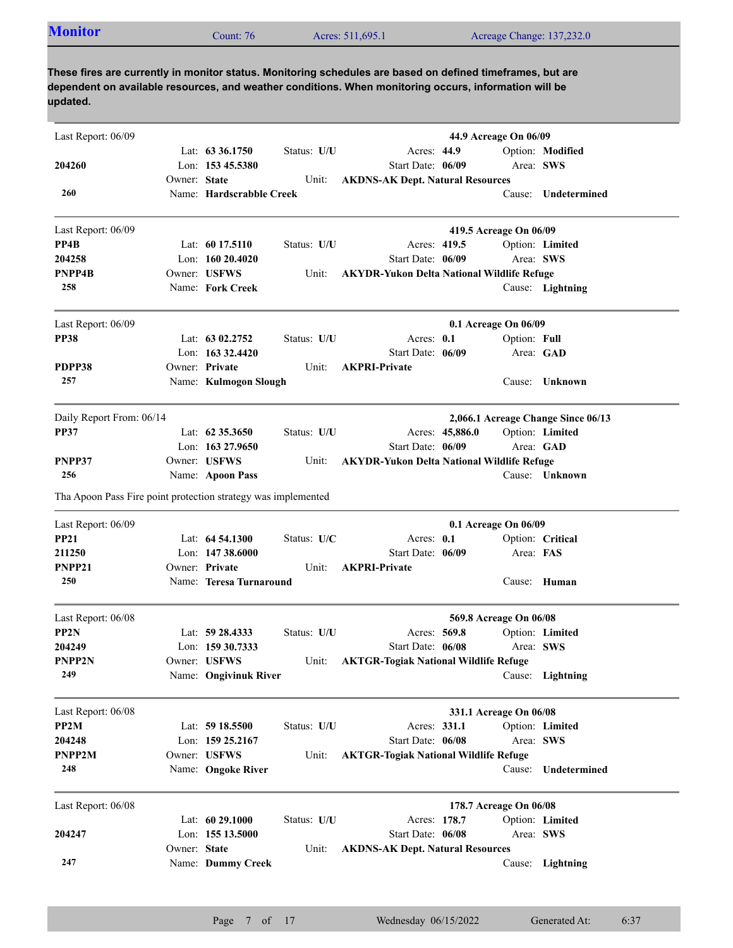| <b>Monitor</b><br>Acres: 511,695.1<br>Acreage Change: 137,232.0<br>$\mathcal{L}$ ount: 76 |
|-------------------------------------------------------------------------------------------|
|-------------------------------------------------------------------------------------------|

| Last Report: 06/09                                            |              |                          |             |                                                   | 44.9 Acreage On 06/09              |                     |
|---------------------------------------------------------------|--------------|--------------------------|-------------|---------------------------------------------------|------------------------------------|---------------------|
|                                                               |              | Lat: $63\,36.1750$       | Status: U/U | Acres: 44.9                                       |                                    | Option: Modified    |
| 204260                                                        |              | Lon: $15345.5380$        |             | Start Date: 06/09                                 |                                    | Area: SWS           |
|                                                               | Owner: State |                          | Unit:       | <b>AKDNS-AK Dept. Natural Resources</b>           |                                    |                     |
| 260                                                           |              | Name: Hardscrabble Creek |             |                                                   |                                    | Cause: Undetermined |
| Last Report: 06/09                                            |              |                          |             |                                                   | 419.5 Acreage On 06/09             |                     |
| PP4B                                                          |              | Lat: $6017.5110$         | Status: U/U | Acres: 419.5                                      |                                    | Option: Limited     |
| 204258                                                        |              | Lon: 160 20.4020         |             | Start Date: 06/09                                 |                                    | Area: SWS           |
| PNPP4B                                                        |              | Owner: USFWS             | Unit:       | <b>AKYDR-Yukon Delta National Wildlife Refuge</b> |                                    |                     |
| 258                                                           |              | Name: Fork Creek         |             |                                                   |                                    | Cause: Lightning    |
| Last Report: 06/09                                            |              |                          |             |                                                   | 0.1 Acreage On 06/09               |                     |
| <b>PP38</b>                                                   |              | Lat: $6302,2752$         | Status: U/U | Acres: 0.1                                        | Option: Full                       |                     |
|                                                               |              | Lon: 163 32.4420         |             | Start Date: 06/09                                 |                                    | Area: GAD           |
| PDPP38                                                        |              | Owner: Private           | Unit:       | <b>AKPRI-Private</b>                              |                                    |                     |
| 257                                                           |              | Name: Kulmogon Slough    |             |                                                   |                                    | Cause: Unknown      |
| Daily Report From: 06/14                                      |              |                          |             |                                                   | 2,066.1 Acreage Change Since 06/13 |                     |
| <b>PP37</b>                                                   |              | Lat: $62\,35.3650$       | Status: U/U | Acres: 45,886.0                                   |                                    | Option: Limited     |
|                                                               |              | Lon: $16327.9650$        |             | Start Date: 06/09                                 |                                    | Area: GAD           |
| PNPP37                                                        |              | Owner: USFWS             | Unit:       | <b>AKYDR-Yukon Delta National Wildlife Refuge</b> |                                    |                     |
| 256                                                           |              | Name: Apoon Pass         |             |                                                   |                                    | Cause: Unknown      |
| Tha Apoon Pass Fire point protection strategy was implemented |              |                          |             |                                                   |                                    |                     |
| Last Report: 06/09                                            |              |                          |             |                                                   | 0.1 Acreage On 06/09               |                     |
| <b>PP21</b>                                                   |              | Lat: 64 54.1300          | Status: U/C | Acres: 0.1                                        |                                    | Option: Critical    |
| 211250                                                        |              | Lon: $14738.6000$        |             | Start Date: 06/09                                 |                                    | Area: FAS           |
| PNPP21                                                        |              | Owner: Private           | Unit:       | <b>AKPRI-Private</b>                              |                                    |                     |
| 250                                                           |              | Name: Teresa Turnaround  |             |                                                   |                                    | Cause: Human        |
| Last Report: 06/08                                            |              |                          |             |                                                   | 569.8 Acreage On 06/08             |                     |
| PP <sub>2N</sub>                                              |              | Lat: 59 28.4333          | Status: U/U | Acres: 569.8                                      |                                    | Option: Limited     |
| 204249                                                        |              | Lon: 159 30.7333         |             | Start Date: 06/08                                 |                                    | Area: SWS           |
| PNPP2N                                                        |              | Owner: USFWS             |             | Unit: AKTGR-Togiak National Wildlife Refuge       |                                    |                     |
| 249                                                           |              | Name: Ongivinuk River    |             |                                                   |                                    | Cause: Lightning    |
| Last Report: 06/08                                            |              |                          |             |                                                   | 331.1 Acreage On 06/08             |                     |
| PP2M                                                          |              | Lat: 59 18.5500          | Status: U/U | Acres: 331.1                                      |                                    | Option: Limited     |
| 204248                                                        |              | Lon: 159 25.2167         |             | Start Date: 06/08                                 |                                    | Area: SWS           |
| PNPP2M                                                        |              | Owner: USFWS             | Unit:       | <b>AKTGR-Togiak National Wildlife Refuge</b>      |                                    |                     |
| 248                                                           |              | Name: Ongoke River       |             |                                                   | Cause:                             | Undetermined        |
| Last Report: 06/08                                            |              |                          |             |                                                   | 178.7 Acreage On 06/08             |                     |
|                                                               |              | Lat: 60 29.1000          | Status: U/U | Acres: 178.7                                      |                                    | Option: Limited     |
| 204247                                                        |              | Lon: 155 13.5000         |             | Start Date: 06/08                                 |                                    | Area: SWS           |
|                                                               | Owner: State |                          | Unit:       | <b>AKDNS-AK Dept. Natural Resources</b>           |                                    |                     |
| 247                                                           |              | Name: Dummy Creek        |             |                                                   |                                    | Cause: Lightning    |
|                                                               |              |                          |             |                                                   |                                    |                     |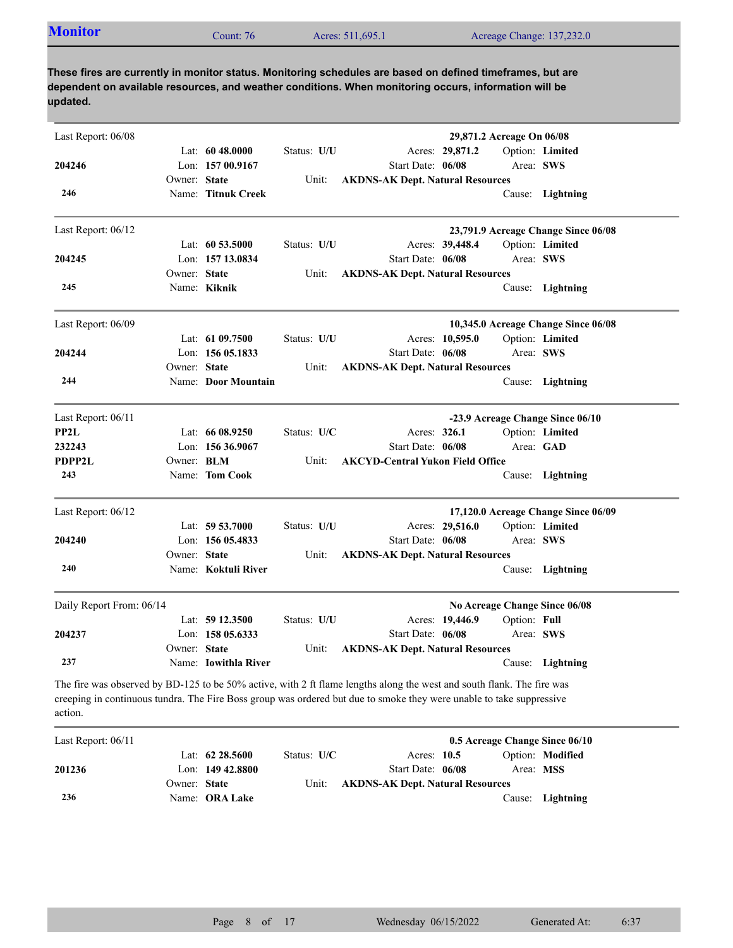| <b>Monitor</b> | Count: 76 | Acres: 511,695.1 | Acreage Change: 137,232.0 |
|----------------|-----------|------------------|---------------------------|

| Last Report: 06/08       |              |                      |             |                                                                                                                                                                                                                                                |                 | 29,871.2 Acreage On 06/08 |                                     |
|--------------------------|--------------|----------------------|-------------|------------------------------------------------------------------------------------------------------------------------------------------------------------------------------------------------------------------------------------------------|-----------------|---------------------------|-------------------------------------|
|                          |              | Lat: $6048.0000$     | Status: U/U |                                                                                                                                                                                                                                                | Acres: 29,871.2 |                           | Option: Limited                     |
| 204246                   |              | Lon: $15700.9167$    |             | Start Date: 06/08                                                                                                                                                                                                                              |                 |                           | Area: SWS                           |
|                          | Owner: State |                      | Unit:       | <b>AKDNS-AK Dept. Natural Resources</b>                                                                                                                                                                                                        |                 |                           |                                     |
| 246                      |              | Name: Titnuk Creek   |             |                                                                                                                                                                                                                                                |                 |                           | Cause: Lightning                    |
| Last Report: 06/12       |              |                      |             |                                                                                                                                                                                                                                                |                 |                           | 23,791.9 Acreage Change Since 06/08 |
|                          |              | Lat: $60\,53.5000$   | Status: U/U |                                                                                                                                                                                                                                                | Acres: 39,448.4 |                           | Option: Limited                     |
| 204245                   |              | Lon: 157 13.0834     |             | Start Date: 06/08                                                                                                                                                                                                                              |                 |                           | Area: SWS                           |
|                          | Owner: State |                      | Unit:       | <b>AKDNS-AK Dept. Natural Resources</b>                                                                                                                                                                                                        |                 |                           |                                     |
| 245                      |              | Name: Kiknik         |             |                                                                                                                                                                                                                                                |                 |                           | Cause: Lightning                    |
| Last Report: 06/09       |              |                      |             |                                                                                                                                                                                                                                                |                 |                           | 10,345.0 Acreage Change Since 06/08 |
|                          |              | Lat: 61 09.7500      | Status: U/U |                                                                                                                                                                                                                                                | Acres: 10,595.0 |                           | Option: Limited                     |
| 204244                   |              | Lon: $15605.1833$    |             | Start Date: 06/08                                                                                                                                                                                                                              |                 |                           | Area: SWS                           |
|                          | Owner: State |                      | Unit:       | <b>AKDNS-AK Dept. Natural Resources</b>                                                                                                                                                                                                        |                 |                           |                                     |
| 244                      |              | Name: Door Mountain  |             |                                                                                                                                                                                                                                                |                 |                           | Cause: Lightning                    |
| Last Report: 06/11       |              |                      |             |                                                                                                                                                                                                                                                |                 |                           | -23.9 Acreage Change Since 06/10    |
| PP2L                     |              | Lat: $6608.9250$     | Status: U/C | Acres: 326.1                                                                                                                                                                                                                                   |                 |                           | Option: Limited                     |
| 232243                   |              | Lon: $15636.9067$    |             | Start Date: 06/08                                                                                                                                                                                                                              |                 |                           | Area: GAD                           |
| <b>PDPP2L</b>            | Owner: BLM   |                      | Unit:       | <b>AKCYD-Central Yukon Field Office</b>                                                                                                                                                                                                        |                 |                           |                                     |
| 243                      |              | Name: Tom Cook       |             |                                                                                                                                                                                                                                                |                 |                           | Cause: Lightning                    |
| Last Report: 06/12       |              |                      |             |                                                                                                                                                                                                                                                |                 |                           | 17,120.0 Acreage Change Since 06/09 |
|                          |              | Lat: 59 53.7000      | Status: U/U |                                                                                                                                                                                                                                                | Acres: 29,516.0 |                           | Option: Limited                     |
| 204240                   |              | Lon: $15605.4833$    |             | Start Date: 06/08                                                                                                                                                                                                                              |                 |                           | Area: SWS                           |
|                          | Owner: State |                      | Unit:       | <b>AKDNS-AK Dept. Natural Resources</b>                                                                                                                                                                                                        |                 |                           |                                     |
| 240                      |              | Name: Koktuli River  |             |                                                                                                                                                                                                                                                |                 |                           | Cause: Lightning                    |
| Daily Report From: 06/14 |              |                      |             |                                                                                                                                                                                                                                                |                 |                           | No Acreage Change Since 06/08       |
|                          |              | Lat: $5912.3500$     | Status: U/U |                                                                                                                                                                                                                                                | Acres: 19,446.9 | Option: Full              |                                     |
| 204237                   |              | Lon: 158 05.6333     |             | Start Date: 06/08                                                                                                                                                                                                                              |                 |                           | Area: SWS                           |
|                          | Owner: State |                      | Unit:       | <b>AKDNS-AK Dept. Natural Resources</b>                                                                                                                                                                                                        |                 |                           |                                     |
| 237                      |              | Name: Iowithla River |             |                                                                                                                                                                                                                                                |                 |                           | Cause: Lightning                    |
| action.                  |              |                      |             | The fire was observed by BD-125 to be 50% active, with 2 ft flame lengths along the west and south flank. The fire was<br>creeping in continuous tundra. The Fire Boss group was ordered but due to smoke they were unable to take suppressive |                 |                           |                                     |
| Last Report: 06/11       |              |                      |             |                                                                                                                                                                                                                                                |                 |                           | 0.5 Acreage Change Since 06/10      |
|                          |              | Lat: 62 28.5600      | Status: U/C | Acres: 10.5                                                                                                                                                                                                                                    |                 |                           | Option: Modified                    |

**236 201236**

Lon: **149 42.8800** Start Date:

Name: **ORA Lake**

Owner: State

Start Date: 06/08

**State AKDNS-AK Dept. Natural Resources**

Cause: **Lightning**

Area: **MSS**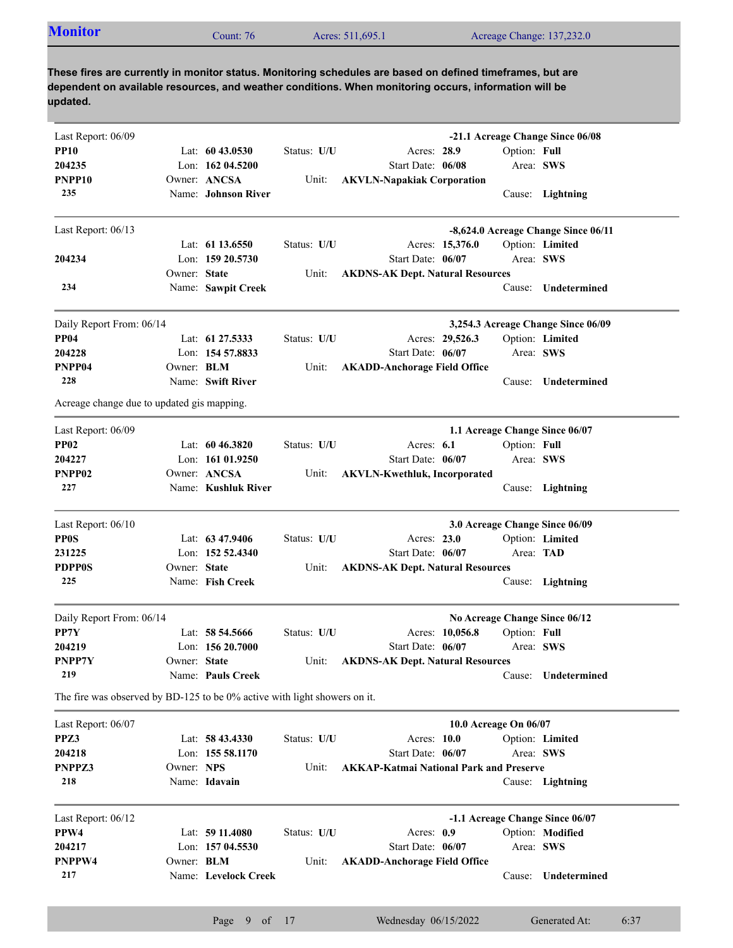| <b>Monitor</b><br>Acreage Change: 137,232.0<br>Acres: 511,695.1<br>Count: $76°$ |  |
|---------------------------------------------------------------------------------|--|
|---------------------------------------------------------------------------------|--|

| Last Report: 06/09                                                        |              |                      |             |                                                |              | -21.1 Acreage Change Since 06/08    |
|---------------------------------------------------------------------------|--------------|----------------------|-------------|------------------------------------------------|--------------|-------------------------------------|
| <b>PP10</b>                                                               |              | Lat: $6043.0530$     | Status: U/U | Acres: 28.9                                    | Option: Full |                                     |
| 204235                                                                    |              | Lon: 162 04.5200     |             | Start Date: 06/08                              | Area: SWS    |                                     |
| PNPP10                                                                    |              | Owner: ANCSA         | Unit:       | <b>AKVLN-Napakiak Corporation</b>              |              |                                     |
| 235                                                                       |              | Name: Johnson River  |             |                                                |              | Cause: Lightning                    |
| Last Report: 06/13                                                        |              |                      |             |                                                |              | -8,624.0 Acreage Change Since 06/11 |
|                                                                           |              | Lat: $61\,13.6550$   | Status: U/U | Acres: 15,376.0                                |              | Option: Limited                     |
| 204234                                                                    |              | Lon: 159 20.5730     |             | Start Date: 06/07                              | Area: SWS    |                                     |
|                                                                           | Owner: State |                      | Unit:       | <b>AKDNS-AK Dept. Natural Resources</b>        |              |                                     |
| 234                                                                       |              | Name: Sawpit Creek   |             |                                                | Cause:       | Undetermined                        |
| Daily Report From: 06/14                                                  |              |                      |             |                                                |              | 3,254.3 Acreage Change Since 06/09  |
| <b>PP04</b>                                                               |              | Lat: 61 27.5333      | Status: U/U | Acres: 29,526.3                                |              | Option: Limited                     |
| 204228                                                                    |              | Lon: 154 57.8833     |             | Start Date: 06/07                              | Area: SWS    |                                     |
| PNPP04                                                                    | Owner: BLM   |                      | Unit:       | <b>AKADD-Anchorage Field Office</b>            |              |                                     |
| 228                                                                       |              | Name: Swift River    |             |                                                |              | Cause: Undetermined                 |
| Acreage change due to updated gis mapping.                                |              |                      |             |                                                |              |                                     |
| Last Report: 06/09                                                        |              |                      |             |                                                |              | 1.1 Acreage Change Since 06/07      |
| <b>PP02</b>                                                               |              | Lat: $60\,46.3820$   | Status: U/U | Acres: $6.1$                                   | Option: Full |                                     |
| 204227                                                                    |              | Lon: 161 01.9250     |             | Start Date: 06/07                              | Area: SWS    |                                     |
| PNPP02                                                                    |              | Owner: ANCSA         | Unit:       | <b>AKVLN-Kwethluk, Incorporated</b>            |              |                                     |
| 227                                                                       |              | Name: Kushluk River  |             |                                                |              | Cause: Lightning                    |
| Last Report: 06/10                                                        |              |                      |             |                                                |              | 3.0 Acreage Change Since 06/09      |
| <b>PP0S</b>                                                               |              | Lat: $63\,47.9406$   | Status: U/U | Acres: 23.0                                    |              | Option: Limited                     |
| 231225                                                                    |              | Lon: 152 52.4340     |             | Start Date: 06/07                              | Area: TAD    |                                     |
| <b>PDPP0S</b>                                                             | Owner: State |                      | Unit:       | <b>AKDNS-AK Dept. Natural Resources</b>        |              |                                     |
| 225                                                                       |              | Name: Fish Creek     |             |                                                |              | Cause: Lightning                    |
| Daily Report From: 06/14                                                  |              |                      |             |                                                |              | No Acreage Change Since 06/12       |
| PP7Y                                                                      |              | Lat: $58\,54.5666$   | Status: U/U | Acres: 10,056.8                                | Option: Full |                                     |
| 204219                                                                    |              | Lon: $15620.7000$    |             | Start Date: 06/07                              | Area: SWS    |                                     |
| PNPP7Y                                                                    | Owner: State |                      | Unit:       | <b>AKDNS-AK Dept. Natural Resources</b>        |              |                                     |
| 219                                                                       |              | Name: Pauls Creek    |             |                                                |              | Cause: Undetermined                 |
| The fire was observed by BD-125 to be 0% active with light showers on it. |              |                      |             |                                                |              |                                     |
| Last Report: 06/07                                                        |              |                      |             | 10.0 Acreage On 06/07                          |              |                                     |
| PPZ3                                                                      |              | Lat: 58 43.4330      | Status: U/U | Acres: 10.0                                    |              | Option: Limited                     |
| 204218                                                                    |              | Lon: 155 58.1170     |             | Start Date: 06/07                              | Area: SWS    |                                     |
| PNPPZ3                                                                    | Owner: NPS   |                      | Unit:       | <b>AKKAP-Katmai National Park and Preserve</b> |              |                                     |
| 218                                                                       |              | Name: Idavain        |             |                                                |              | Cause: Lightning                    |
| Last Report: 06/12                                                        |              |                      |             |                                                |              | -1.1 Acreage Change Since 06/07     |
| PPW4                                                                      |              | Lat: 59 11.4080      | Status: U/U | Acres: 0.9                                     |              | Option: Modified                    |
| 204217                                                                    |              | Lon: 157 04.5530     |             | Start Date: 06/07                              | Area: SWS    |                                     |
| PNPPW4                                                                    | Owner: BLM   |                      | Unit:       | <b>AKADD-Anchorage Field Office</b>            |              |                                     |
| 217                                                                       |              | Name: Levelock Creek |             |                                                | Cause:       | Undetermined                        |
|                                                                           |              |                      |             |                                                |              |                                     |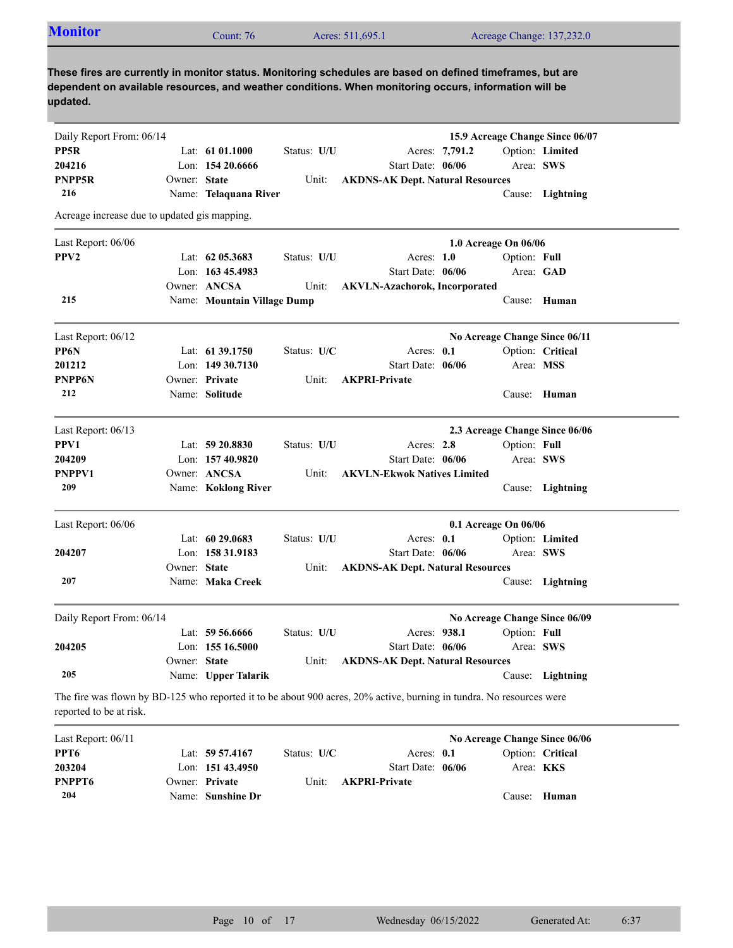| <b>Monitor</b> | Count: 76 | Acres: 511,695.1 | Acreage Change: 137,232.0 |  |
|----------------|-----------|------------------|---------------------------|--|
|                |           |                  |                           |  |

| Daily Report From: 06/14                     |              |                             |             |                                                                                                                      |                      |              | 15.9 Acreage Change Since 06/07 |
|----------------------------------------------|--------------|-----------------------------|-------------|----------------------------------------------------------------------------------------------------------------------|----------------------|--------------|---------------------------------|
| PP5R                                         |              | Lat: $6101.1000$            | Status: U/U | Acres: 7,791.2                                                                                                       |                      |              | Option: Limited                 |
| 204216                                       |              | Lon: 154 20.6666            |             | Start Date: 06/06                                                                                                    |                      |              | Area: SWS                       |
| PNPP5R                                       | Owner: State |                             | Unit:       | <b>AKDNS-AK Dept. Natural Resources</b>                                                                              |                      |              |                                 |
| 216                                          |              | Name: Telaquana River       |             |                                                                                                                      |                      |              | Cause: Lightning                |
| Acreage increase due to updated gis mapping. |              |                             |             |                                                                                                                      |                      |              |                                 |
| Last Report: 06/06                           |              |                             |             |                                                                                                                      | 1.0 Acreage On 06/06 |              |                                 |
| PPV <sub>2</sub>                             |              | Lat: 62 05.3683             | Status: U/U | Acres: $1.0$                                                                                                         |                      | Option: Full |                                 |
|                                              |              | Lon: 163 45.4983            |             | Start Date: 06/06                                                                                                    |                      |              | Area: GAD                       |
|                                              |              | Owner: ANCSA                | Unit:       | <b>AKVLN-Azachorok, Incorporated</b>                                                                                 |                      |              |                                 |
| 215                                          |              | Name: Mountain Village Dump |             |                                                                                                                      |                      |              | Cause: Human                    |
| Last Report: 06/12                           |              |                             |             |                                                                                                                      |                      |              | No Acreage Change Since 06/11   |
| PP6N                                         |              | Lat: 61 39.1750             | Status: U/C | Acres: 0.1                                                                                                           |                      |              | Option: Critical                |
| 201212                                       |              | Lon: $14930.7130$           |             | Start Date: 06/06                                                                                                    |                      |              | Area: MSS                       |
| PNPP6N                                       |              | Owner: Private              | Unit:       | <b>AKPRI-Private</b>                                                                                                 |                      |              |                                 |
| 212                                          |              | Name: Solitude              |             |                                                                                                                      |                      |              | Cause: Human                    |
| Last Report: 06/13                           |              |                             |             |                                                                                                                      |                      |              | 2.3 Acreage Change Since 06/06  |
| PPV1                                         |              | Lat: 59 20.8830             | Status: U/U | Acres: $2.8$                                                                                                         |                      | Option: Full |                                 |
| 204209                                       |              | Lon: 157 40.9820            |             | Start Date: 06/06                                                                                                    |                      |              | Area: SWS                       |
| PNPPV1                                       |              | Owner: ANCSA                | Unit:       | <b>AKVLN-Ekwok Natives Limited</b>                                                                                   |                      |              |                                 |
| 209                                          |              | Name: Koklong River         |             |                                                                                                                      |                      |              | Cause: Lightning                |
| Last Report: 06/06                           |              |                             |             |                                                                                                                      | 0.1 Acreage On 06/06 |              |                                 |
|                                              |              | Lat: $60\,29.0683$          | Status: U/U | Acres: 0.1                                                                                                           |                      |              | Option: Limited                 |
| 204207                                       |              | Lon: 158 31.9183            |             | Start Date: 06/06                                                                                                    |                      |              | Area: SWS                       |
|                                              | Owner: State |                             | Unit:       | <b>AKDNS-AK Dept. Natural Resources</b>                                                                              |                      |              |                                 |
| 207                                          |              | Name: Maka Creek            |             |                                                                                                                      |                      |              | Cause: Lightning                |
| Daily Report From: 06/14                     |              |                             |             |                                                                                                                      |                      |              | No Acreage Change Since 06/09   |
|                                              |              | Lat: $59\,56.6666$          | Status: U/U | Acres: 938.1                                                                                                         |                      | Option: Full |                                 |
| 204205                                       |              | Lon: 155 16.5000            |             | Start Date: 06/06                                                                                                    |                      |              | Area: SWS                       |
|                                              | Owner: State |                             | Unit:       | <b>AKDNS-AK Dept. Natural Resources</b>                                                                              |                      |              |                                 |
| 205                                          |              | Name: Upper Talarik         |             |                                                                                                                      |                      |              | Cause: Lightning                |
| reported to be at risk.                      |              |                             |             | The fire was flown by BD-125 who reported it to be about 900 acres, 20% active, burning in tundra. No resources were |                      |              |                                 |
| Last Report: 06/11                           |              |                             |             |                                                                                                                      |                      |              | No Acreage Change Since 06/06   |
| PPT <sub>6</sub>                             |              | Lat: 59 57.4167             | Status: U/C | Acres: 0.1                                                                                                           |                      |              | Option: Critical                |
| 203204                                       |              | Lon: 151 43.4950            |             | Start Date: 06/06                                                                                                    |                      |              | Area: KKS                       |
| PNPPT6                                       |              | Owner: Private              | Unit:       | <b>AKPRI-Private</b>                                                                                                 |                      |              |                                 |

Cause: **Human**

Name: **Sunshine Dr**

**204**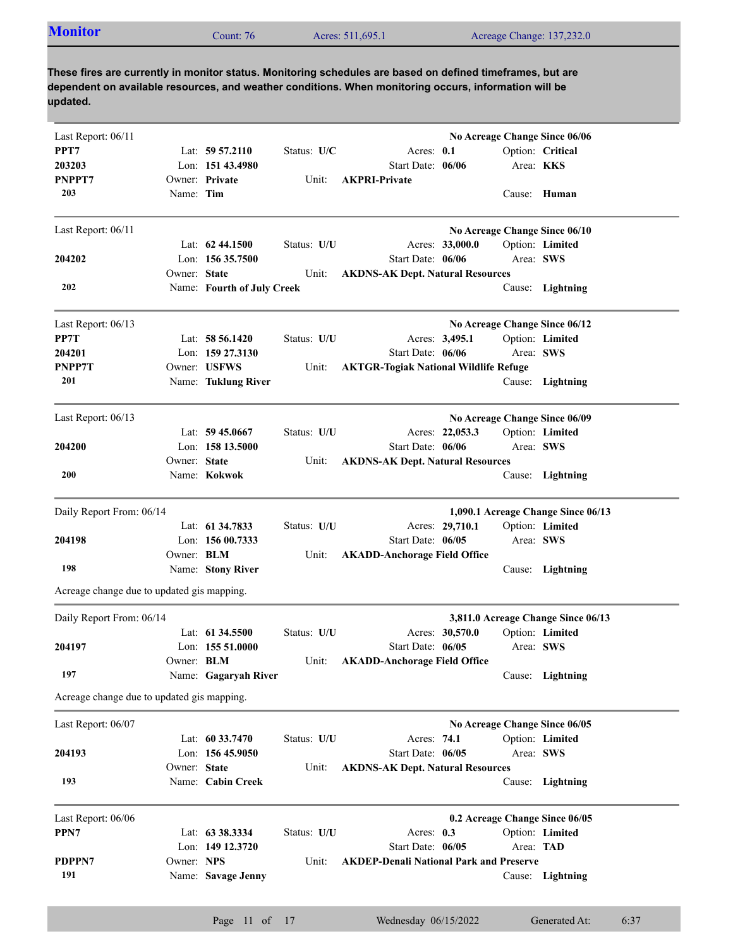| Acres: 511,695.1<br>Acreage Change: 137,232.0<br>Count: $76$ | <b>Monitor</b> |  |  |  |
|--------------------------------------------------------------|----------------|--|--|--|
|--------------------------------------------------------------|----------------|--|--|--|

| Last Report: 06/11                         |                   |                            |             |                                                |                  | No Acreage Change Since 06/06      |  |
|--------------------------------------------|-------------------|----------------------------|-------------|------------------------------------------------|------------------|------------------------------------|--|
| PPT7                                       |                   | Lat: $59\,57.2110$         | Status: U/C | Acres: 0.1                                     |                  | Option: Critical                   |  |
| 203203                                     |                   | Lon: $15143.4980$          |             | Start Date: 06/06                              | Area: <b>KKS</b> |                                    |  |
| PNPPT7                                     |                   | Owner: Private             | Unit:       | <b>AKPRI-Private</b>                           |                  |                                    |  |
| 203                                        | Name: Tim         |                            |             |                                                | Cause:           | Human                              |  |
| Last Report: 06/11                         |                   |                            |             |                                                |                  | No Acreage Change Since 06/10      |  |
|                                            |                   | Lat: $62\,44.1500$         | Status: U/U | Acres: 33,000.0                                |                  | Option: Limited                    |  |
| 204202                                     |                   | Lon: $15635.7500$          |             | Start Date: 06/06                              | Area: SWS        |                                    |  |
|                                            | Owner: State      |                            | Unit:       | <b>AKDNS-AK Dept. Natural Resources</b>        |                  |                                    |  |
| 202                                        |                   | Name: Fourth of July Creek |             |                                                | Cause:           | Lightning                          |  |
| Last Report: 06/13                         |                   |                            |             |                                                |                  | No Acreage Change Since 06/12      |  |
| PP7T                                       |                   | Lat: 58 56.1420            | Status: U/U | Acres: 3,495.1                                 |                  | Option: Limited                    |  |
| 204201                                     |                   | Lon: 159 27.3130           |             | Start Date: 06/06                              | Area: SWS        |                                    |  |
| PNPP7T                                     |                   | Owner: USFWS               | Unit:       | <b>AKTGR-Togiak National Wildlife Refuge</b>   |                  |                                    |  |
| 201                                        |                   | Name: Tuklung River        |             |                                                |                  | Cause: Lightning                   |  |
| Last Report: 06/13                         |                   |                            |             |                                                |                  | No Acreage Change Since 06/09      |  |
|                                            |                   | Lat: $59\,45.0667$         | Status: U/U | Acres: 22,053.3                                |                  | Option: Limited                    |  |
| 204200                                     |                   | Lon: 158 13.5000           |             | Start Date: 06/06                              | Area: SWS        |                                    |  |
|                                            | Owner: State      |                            | Unit:       | <b>AKDNS-AK Dept. Natural Resources</b>        |                  |                                    |  |
| 200                                        |                   | Name: Kokwok               |             |                                                |                  | Cause: Lightning                   |  |
| Daily Report From: 06/14                   |                   |                            |             |                                                |                  | 1,090.1 Acreage Change Since 06/13 |  |
|                                            |                   | Lat: 61 34.7833            | Status: U/U | Acres: 29,710.1                                |                  | Option: Limited                    |  |
| 204198                                     |                   | Lon: $15600.7333$          |             | Start Date: 06/05                              | Area: SWS        |                                    |  |
|                                            | Owner: BLM        |                            | Unit:       | <b>AKADD-Anchorage Field Office</b>            |                  |                                    |  |
| 198                                        |                   | Name: Stony River          |             |                                                |                  | Cause: Lightning                   |  |
| Acreage change due to updated gis mapping. |                   |                            |             |                                                |                  |                                    |  |
| Daily Report From: 06/14                   |                   |                            |             |                                                |                  | 3,811.0 Acreage Change Since 06/13 |  |
|                                            |                   | Lat: 61 34.5500            | Status: U/U | Acres: 30,570.0                                |                  | Option: Limited                    |  |
| 204197                                     |                   | Lon: $15551.0000$          |             | Start Date: 06/05                              | Area: SWS        |                                    |  |
|                                            | Owner: <b>BLM</b> |                            | Unit:       | <b>AKADD-Anchorage Field Office</b>            |                  |                                    |  |
| 197                                        |                   | Name: Gagaryah River       |             |                                                |                  | Cause: Lightning                   |  |
| Acreage change due to updated gis mapping. |                   |                            |             |                                                |                  |                                    |  |
| Last Report: 06/07                         |                   |                            |             |                                                |                  | No Acreage Change Since 06/05      |  |
|                                            |                   | Lat: $60\,33.7470$         | Status: U/U | Acres: 74.1                                    |                  | Option: Limited                    |  |
| 204193                                     |                   | Lon: 156 45.9050           |             | Start Date: 06/05                              | Area: SWS        |                                    |  |
|                                            | Owner: State      |                            | Unit:       | <b>AKDNS-AK Dept. Natural Resources</b>        |                  |                                    |  |
| 193                                        |                   | Name: Cabin Creek          |             |                                                | Cause:           | Lightning                          |  |
| Last Report: 06/06                         |                   |                            |             |                                                |                  | 0.2 Acreage Change Since 06/05     |  |
| PPN7                                       |                   | Lat: 63 38.3334            | Status: U/U | Acres: $0.3$                                   |                  | Option: Limited                    |  |
|                                            |                   | Lon: 149 12.3720           |             | Start Date: 06/05                              | Area: TAD        |                                    |  |
| PDPPN7                                     | Owner: NPS        |                            | Unit:       | <b>AKDEP-Denali National Park and Preserve</b> |                  |                                    |  |
| 191                                        |                   | Name: Savage Jenny         |             |                                                |                  | Cause: Lightning                   |  |
|                                            |                   |                            |             |                                                |                  |                                    |  |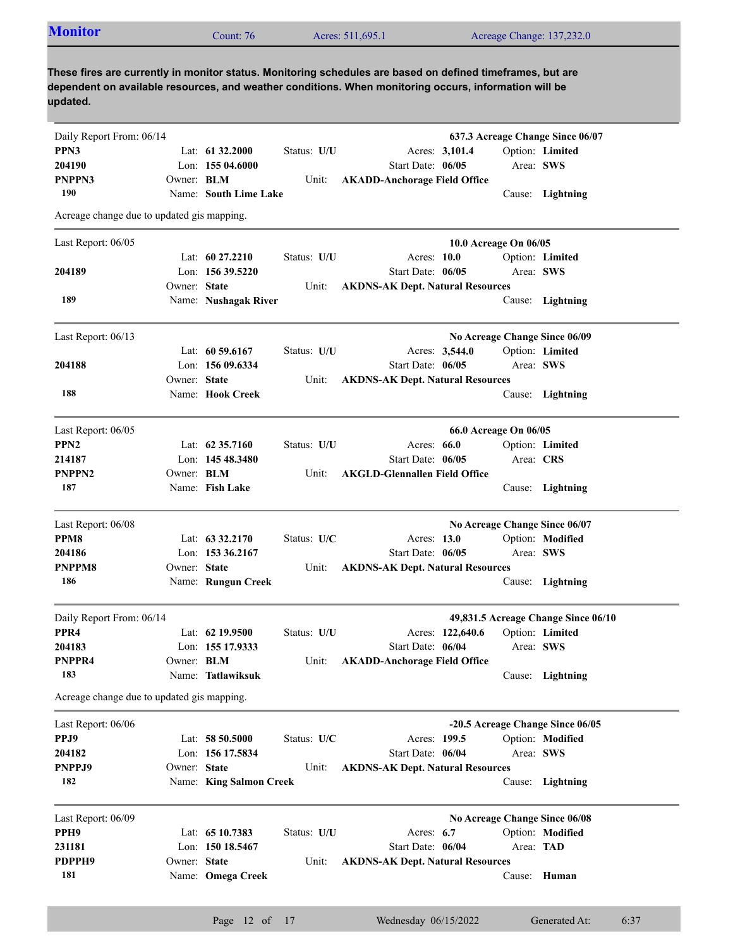| <b>Monitor</b> | Count: 76 | Acres: 511,695.1 | Acreage Change: 137,232.0 |  |
|----------------|-----------|------------------|---------------------------|--|
|----------------|-----------|------------------|---------------------------|--|

| Daily Report From: 06/14                   |                   |                         |             |                                         |           | 637.3 Acreage Change Since 06/07    |
|--------------------------------------------|-------------------|-------------------------|-------------|-----------------------------------------|-----------|-------------------------------------|
| PPN3                                       |                   | Lat: $61\,32.2000$      | Status: U/U | Acres: 3,101.4                          |           | Option: Limited                     |
| 204190                                     |                   | Lon: 155 04.6000        |             | Start Date: 06/05                       | Area: SWS |                                     |
| PNPPN3                                     | Owner: <b>BLM</b> |                         | Unit:       | <b>AKADD-Anchorage Field Office</b>     |           |                                     |
| 190                                        |                   | Name: South Lime Lake   |             |                                         |           | Cause: Lightning                    |
| Acreage change due to updated gis mapping. |                   |                         |             |                                         |           |                                     |
| Last Report: 06/05                         |                   |                         |             | 10.0 Acreage On 06/05                   |           |                                     |
|                                            |                   | Lat: 60 27.2210         | Status: U/U | Acres: 10.0                             |           | Option: Limited                     |
| 204189                                     |                   | Lon: $15639.5220$       |             | Start Date: 06/05                       | Area: SWS |                                     |
|                                            | Owner: State      |                         | Unit:       | <b>AKDNS-AK Dept. Natural Resources</b> |           |                                     |
| 189                                        |                   | Name: Nushagak River    |             |                                         |           | Cause: Lightning                    |
| Last Report: 06/13                         |                   |                         |             | No Acreage Change Since 06/09           |           |                                     |
|                                            |                   | Lat: $60\,59.6167$      | Status: U/U | Acres: 3,544.0                          |           | Option: Limited                     |
| 204188                                     |                   | Lon: 156 09.6334        |             | Start Date: 06/05                       | Area: SWS |                                     |
|                                            | Owner: State      |                         | Unit:       | <b>AKDNS-AK Dept. Natural Resources</b> |           |                                     |
| 188                                        |                   | Name: Hook Creek        |             |                                         |           | Cause: Lightning                    |
| Last Report: 06/05                         |                   |                         |             | 66.0 Acreage On 06/05                   |           |                                     |
| PPN <sub>2</sub>                           |                   | Lat: $62\,35.7160$      | Status: U/U | Acres: 66.0                             |           | Option: Limited                     |
| 214187                                     |                   | Lon: 145 48.3480        |             | Start Date: 06/05                       | Area: CRS |                                     |
| PNPPN <sub>2</sub>                         | Owner: BLM        |                         | Unit:       | <b>AKGLD-Glennallen Field Office</b>    |           |                                     |
| 187                                        |                   | Name: Fish Lake         |             |                                         |           | Cause: Lightning                    |
| Last Report: 06/08                         |                   |                         |             | No Acreage Change Since 06/07           |           |                                     |
| PPM8                                       |                   | Lat: $63\,32.2170$      | Status: U/C | Acres: 13.0                             |           | Option: Modified                    |
| 204186                                     |                   | Lon: 153 36.2167        |             | Start Date: 06/05                       | Area: SWS |                                     |
| PNPPM8                                     | Owner: State      |                         | Unit:       | <b>AKDNS-AK Dept. Natural Resources</b> |           |                                     |
| 186                                        |                   | Name: Rungun Creek      |             |                                         |           | Cause: Lightning                    |
| Daily Report From: 06/14                   |                   |                         |             |                                         |           | 49,831.5 Acreage Change Since 06/10 |
| PPR <sub>4</sub>                           |                   | Lat: 62 19.9500         | Status: U/U | Acres: 122,640.6                        |           | Option: Limited                     |
| 204183                                     |                   | Lon: 155 17.9333        |             | Start Date: 06/04                       | Area: SWS |                                     |
| PNPPR4                                     | Owner: BLM        |                         | Unit:       | <b>AKADD-Anchorage Field Office</b>     |           |                                     |
| 183                                        |                   | Name: Tatlawiksuk       |             |                                         |           | Cause: Lightning                    |
| Acreage change due to updated gis mapping. |                   |                         |             |                                         |           |                                     |
| Last Report: 06/06                         |                   |                         |             |                                         |           | -20.5 Acreage Change Since 06/05    |
| PPJ9                                       |                   | Lat: 58 50.5000         | Status: U/C | Acres: 199.5                            |           | Option: Modified                    |
| 204182                                     |                   | Lon: 156 17.5834        |             | Start Date: 06/04                       | Area: SWS |                                     |
| PNPPJ9                                     | Owner: State      |                         | Unit:       | <b>AKDNS-AK Dept. Natural Resources</b> |           |                                     |
| 182                                        |                   | Name: King Salmon Creek |             |                                         |           | Cause: Lightning                    |
| Last Report: 06/09                         |                   |                         |             | No Acreage Change Since 06/08           |           |                                     |
| PPH9                                       |                   | Lat: 65 10.7383         | Status: U/U | Acres: 6.7                              |           | Option: Modified                    |
| 231181                                     |                   | Lon: 150 18.5467        |             | Start Date: 06/04                       | Area: TAD |                                     |
| PDPPH9                                     | Owner: State      |                         | Unit:       | <b>AKDNS-AK Dept. Natural Resources</b> |           |                                     |
| 181                                        |                   | Name: Omega Creek       |             |                                         |           | Cause: Human                        |
|                                            |                   |                         |             |                                         |           |                                     |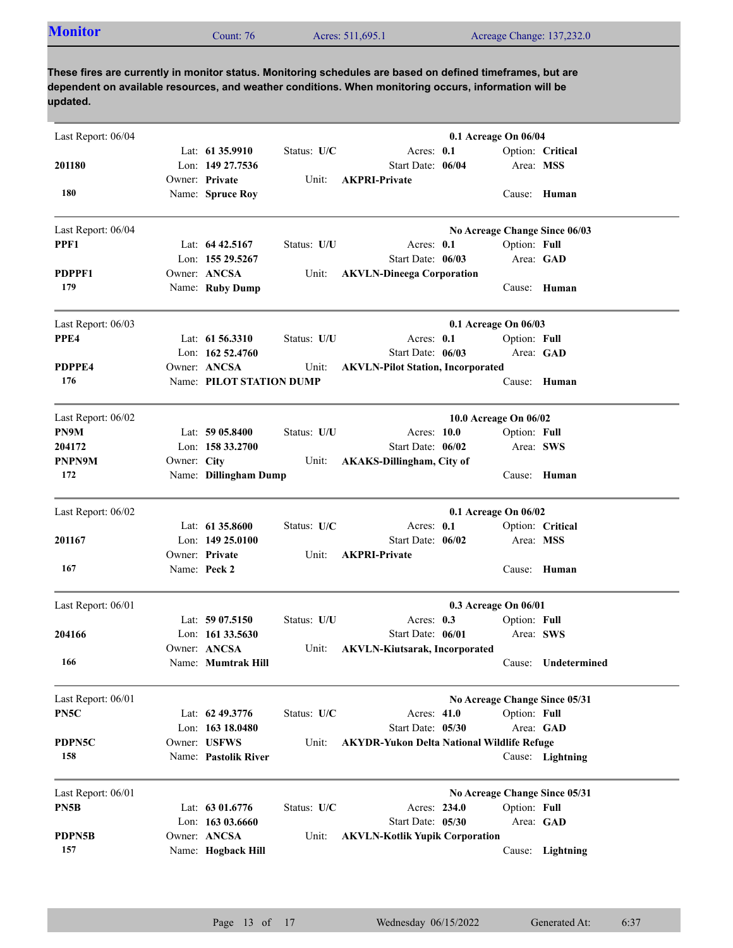| Last Report: 06/04 |             |                          |             |                                                   | 0.1 Acreage On 06/04  |              |                               |
|--------------------|-------------|--------------------------|-------------|---------------------------------------------------|-----------------------|--------------|-------------------------------|
|                    |             | Lat: 61 35.9910          | Status: U/C | Acres: 0.1                                        |                       |              | Option: Critical              |
| 201180             |             | Lon: 149 27.7536         |             | Start Date: 06/04                                 |                       | Area: MSS    |                               |
|                    |             | Owner: Private           | Unit:       | <b>AKPRI-Private</b>                              |                       |              |                               |
| 180                |             | Name: Spruce Roy         |             |                                                   |                       |              | Cause: Human                  |
| Last Report: 06/04 |             |                          |             |                                                   |                       |              | No Acreage Change Since 06/03 |
| PPF1               |             | Lat: $64\,42.5167$       | Status: U/U | Acres: $0.1$                                      |                       | Option: Full |                               |
|                    |             | Lon: 155 29.5267         |             | Start Date: 06/03                                 |                       |              | Area: GAD                     |
| PDPPF1             |             | Owner: ANCSA             | Unit:       | <b>AKVLN-Dineega Corporation</b>                  |                       |              |                               |
| 179                |             | Name: Ruby Dump          |             |                                                   |                       |              | Cause: Human                  |
| Last Report: 06/03 |             |                          |             |                                                   | 0.1 Acreage On 06/03  |              |                               |
| PPE4               |             | Lat: $61\,56.3310$       | Status: U/U | Acres: 0.1                                        |                       | Option: Full |                               |
|                    |             | Lon: $16252.4760$        |             | Start Date: 06/03                                 |                       |              | Area: GAD                     |
| PDPPE4             |             | Owner: ANCSA             | Unit:       | <b>AKVLN-Pilot Station, Incorporated</b>          |                       |              |                               |
| 176                |             | Name: PILOT STATION DUMP |             |                                                   |                       |              | Cause: Human                  |
| Last Report: 06/02 |             |                          |             |                                                   | 10.0 Acreage On 06/02 |              |                               |
| PN9M               |             | Lat: $5905.8400$         | Status: U/U | Acres: 10.0                                       |                       | Option: Full |                               |
| 204172             |             | Lon: 158 33.2700         |             | Start Date: 06/02                                 |                       |              | Area: SWS                     |
| <b>PNPN9M</b>      | Owner: City |                          | Unit:       | <b>AKAKS-Dillingham, City of</b>                  |                       |              |                               |
| 172                |             | Name: Dillingham Dump    |             |                                                   |                       |              | Cause: Human                  |
|                    |             |                          |             |                                                   |                       |              |                               |
| Last Report: 06/02 |             |                          |             |                                                   | 0.1 Acreage On 06/02  |              |                               |
|                    |             | Lat: 61 35.8600          | Status: U/C | Acres: 0.1                                        |                       |              | Option: Critical              |
| 201167             |             | Lon: $14925.0100$        |             | Start Date: 06/02                                 |                       | Area: MSS    |                               |
|                    |             | Owner: Private           | Unit:       | <b>AKPRI-Private</b>                              |                       |              |                               |
| 167                |             | Name: Peck 2             |             |                                                   |                       |              | Cause: Human                  |
| Last Report: 06/01 |             |                          |             |                                                   | 0.3 Acreage On 06/01  |              |                               |
|                    |             | Lat: $5907.5150$         | Status: U/U | Acres: $0.3$                                      |                       | Option: Full |                               |
| 204166             |             | Lon: $16133.5630$        |             | Start Date: 06/01                                 |                       |              | Area: SWS                     |
|                    |             | Owner: ANCSA             | Unit:       | <b>AKVLN-Kiutsarak, Incorporated</b>              |                       |              |                               |
| 166                |             | Name: Mumtrak Hill       |             |                                                   |                       |              | Cause: Undetermined           |
| Last Report: 06/01 |             |                          |             |                                                   |                       |              | No Acreage Change Since 05/31 |
| PN5C               |             | Lat: 62 49.3776          | Status: U/C | Acres: 41.0                                       |                       | Option: Full |                               |
|                    |             | Lon: 163 18.0480         |             | Start Date: 05/30                                 |                       |              | Area: GAD                     |
| PDPN5C             |             | Owner: USFWS             | Unit:       | <b>AKYDR-Yukon Delta National Wildlife Refuge</b> |                       |              |                               |
| 158                |             | Name: Pastolik River     |             |                                                   |                       |              | Cause: Lightning              |
| Last Report: 06/01 |             |                          |             |                                                   |                       |              | No Acreage Change Since 05/31 |
| PN5B               |             | Lat: 63 01.6776          | Status: U/C | Acres: 234.0                                      |                       | Option: Full |                               |
|                    |             | Lon: 163 03.6660         |             | Start Date: 05/30                                 |                       |              | Area: GAD                     |
| PDPN5B             |             | Owner: ANCSA             | Unit:       | <b>AKVLN-Kotlik Yupik Corporation</b>             |                       |              |                               |
| 157                |             | Name: Hogback Hill       |             |                                                   |                       |              | Cause: Lightning              |
|                    |             |                          |             |                                                   |                       |              |                               |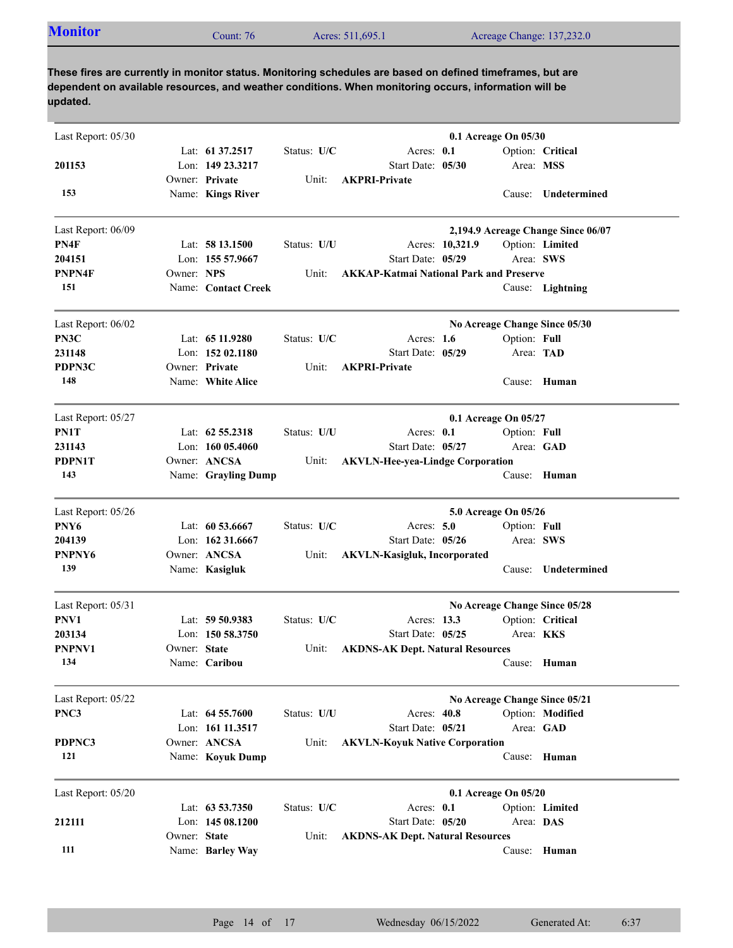| <b>Monitor</b><br>Acres: 511,695.1<br>Count: 76 | Acreage Change: 137,232.0 |
|-------------------------------------------------|---------------------------|
|-------------------------------------------------|---------------------------|

| Last Report: 05/30 |              |                     |             | 0.1 Acreage On 05/30                           |  |
|--------------------|--------------|---------------------|-------------|------------------------------------------------|--|
|                    |              | Lat: 61 37.2517     | Status: U/C | Acres: 0.1<br>Option: Critical                 |  |
| 201153             |              | Lon: 149 23.3217    |             | Start Date: 05/30<br>Area: MSS                 |  |
|                    |              | Owner: Private      | Unit:       | <b>AKPRI-Private</b>                           |  |
| 153                |              | Name: Kings River   |             | <b>Undetermined</b><br>Cause:                  |  |
| Last Report: 06/09 |              |                     |             | 2,194.9 Acreage Change Since 06/07             |  |
| PN4F               |              | Lat: $5813.1500$    | Status: U/U | Acres: 10,321.9<br>Option: Limited             |  |
| 204151             |              | Lon: 155 57.9667    |             | Start Date: 05/29<br>Area: SWS                 |  |
| PNPN4F             | Owner: NPS   |                     | Unit:       | <b>AKKAP-Katmai National Park and Preserve</b> |  |
| 151                |              | Name: Contact Creek |             | Cause: Lightning                               |  |
| Last Report: 06/02 |              |                     |             | No Acreage Change Since 05/30                  |  |
| PN3C               |              | Lat: 65 11.9280     | Status: U/C | Acres: 1.6<br>Option: Full                     |  |
| 231148             |              | Lon: $15202.1180$   |             | Start Date: 05/29<br>Area: TAD                 |  |
| PDPN3C             |              | Owner: Private      | Unit:       | <b>AKPRI-Private</b>                           |  |
| 148                |              | Name: White Alice   |             | Cause: Human                                   |  |
| Last Report: 05/27 |              |                     |             | 0.1 Acreage On 05/27                           |  |
| PN1T               |              | Lat: $62\,55.2318$  | Status: U/U | Acres: 0.1<br>Option: Full                     |  |
| 231143             |              | Lon: $16005.4060$   |             | Start Date: 05/27<br>Area: GAD                 |  |
| PDPN1T             |              | Owner: ANCSA        | Unit:       | <b>AKVLN-Hee-yea-Lindge Corporation</b>        |  |
| 143                |              | Name: Grayling Dump |             | Cause: Human                                   |  |
| Last Report: 05/26 |              |                     |             | 5.0 Acreage On 05/26                           |  |
| PNY <sub>6</sub>   |              | Lat: 60 53.6667     | Status: U/C | Acres: 5.0<br>Option: Full                     |  |
| 204139             |              | Lon: 162 31.6667    |             | Start Date: 05/26<br>Area: SWS                 |  |
| PNPNY6             |              | Owner: ANCSA        | Unit:       | <b>AKVLN-Kasigluk, Incorporated</b>            |  |
| 139                |              | Name: Kasigluk      |             | Undetermined<br>Cause:                         |  |
| Last Report: 05/31 |              |                     |             | No Acreage Change Since 05/28                  |  |
| PNV1               |              | Lat: 59 50.9383     | Status: U/C | Option: Critical<br>Acres: 13.3                |  |
| 203134             |              | Lon: $15058.3750$   |             | Start Date: 05/25<br>Area: <b>KKS</b>          |  |
| PNPNV1             | Owner: State |                     | Unit:       | <b>AKDNS-AK Dept. Natural Resources</b>        |  |
| 134                |              | Name: Caribou       |             | Cause: Human                                   |  |
| Last Report: 05/22 |              |                     |             | No Acreage Change Since 05/21                  |  |
| PNC3               |              | Lat: 64 55.7600     | Status: U/U | Acres: 40.8<br>Option: Modified                |  |
|                    |              | Lon: 161 11.3517    |             | Start Date: 05/21<br>Area: GAD                 |  |
| PDPNC3             |              | Owner: ANCSA        | Unit:       | <b>AKVLN-Koyuk Native Corporation</b>          |  |
| 121                |              | Name: Koyuk Dump    |             | Cause: Human                                   |  |
| Last Report: 05/20 |              |                     |             | 0.1 Acreage On 05/20                           |  |
|                    |              | Lat: 63 53.7350     | Status: U/C | Acres: 0.1<br>Option: Limited                  |  |
| 212111             |              | Lon: 145 08.1200    |             | Start Date: 05/20<br>Area: DAS                 |  |
|                    | Owner: State |                     | Unit:       | <b>AKDNS-AK Dept. Natural Resources</b>        |  |
| 111                |              | Name: Barley Way    |             | Cause: Human                                   |  |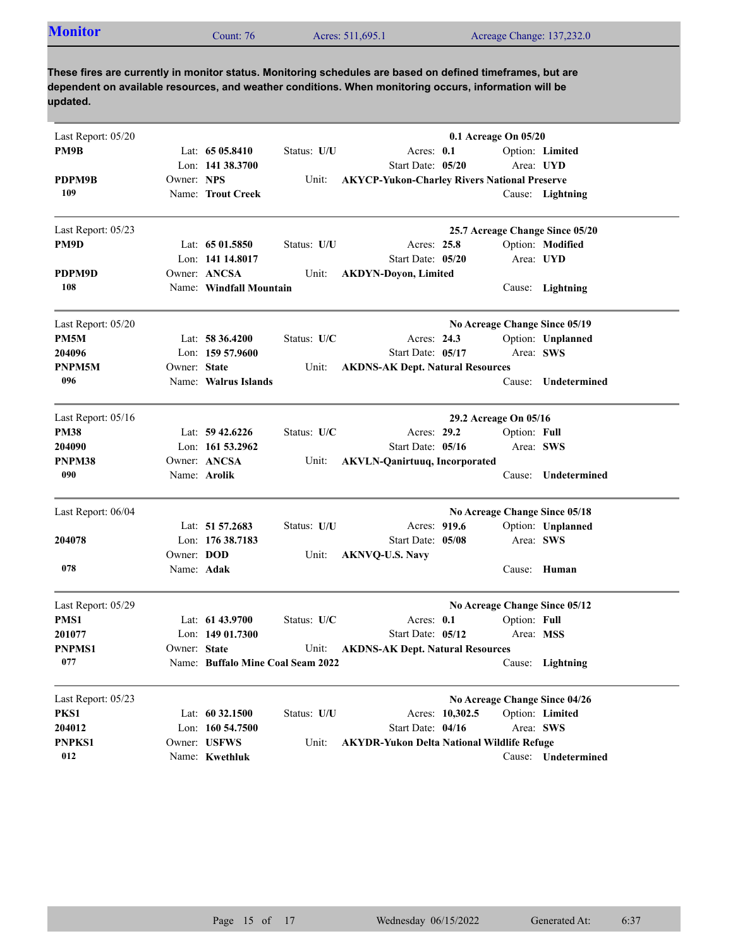| <b>Monitor</b> | $2$ ount: 76 | Acres: 511,695.1 | Acreage Change: 137,232.0 |
|----------------|--------------|------------------|---------------------------|

| Last Report: 05/20 |                   |                                   |             | 0.1 Acreage On 05/20                                |                 |                       |                                 |
|--------------------|-------------------|-----------------------------------|-------------|-----------------------------------------------------|-----------------|-----------------------|---------------------------------|
| PM9B               |                   | Lat: $6505.8410$                  | Status: U/U | Acres: 0.1                                          |                 |                       | Option: Limited                 |
|                    |                   | Lon: 141 38.3700                  |             | Start Date: 05/20                                   |                 |                       | Area: <b>UYD</b>                |
| PDPM9B             | Owner: NPS        |                                   | Unit:       | <b>AKYCP-Yukon-Charley Rivers National Preserve</b> |                 |                       |                                 |
| 109                |                   | Name: Trout Creek                 |             |                                                     |                 |                       | Cause: Lightning                |
| Last Report: 05/23 |                   |                                   |             |                                                     |                 |                       | 25.7 Acreage Change Since 05/20 |
| PM9D               |                   | Lat: $6501.5850$                  | Status: U/U | Acres: 25.8                                         |                 |                       | Option: Modified                |
|                    |                   | Lon: 141 14.8017                  |             | Start Date: 05/20                                   |                 |                       | Area: UYD                       |
| PDPM9D             |                   | Owner: ANCSA                      | Unit:       | <b>AKDYN-Doyon, Limited</b>                         |                 |                       |                                 |
| 108                |                   | Name: Windfall Mountain           |             |                                                     |                 |                       | Cause: Lightning                |
| Last Report: 05/20 |                   |                                   |             |                                                     |                 |                       | No Acreage Change Since 05/19   |
| PM5M               |                   | Lat: 58 36.4200                   | Status: U/C | Acres: 24.3                                         |                 |                       | Option: Unplanned               |
| 204096             |                   | Lon: 159 57.9600                  |             | Start Date: 05/17                                   |                 | Area: SWS             |                                 |
| PNPM5M             | Owner: State      |                                   | Unit:       | <b>AKDNS-AK Dept. Natural Resources</b>             |                 |                       |                                 |
| 096                |                   | Name: Walrus Islands              |             |                                                     |                 | Cause:                | Undetermined                    |
| Last Report: 05/16 |                   |                                   |             |                                                     |                 | 29.2 Acreage On 05/16 |                                 |
| <b>PM38</b>        |                   | Lat: $59\,42.6226$                | Status: U/C | Acres: 29.2                                         |                 | Option: Full          |                                 |
| 204090             |                   | Lon: 161 53.2962                  |             | Start Date: 05/16                                   |                 | Area: SWS             |                                 |
| PNPM38             |                   | Owner: ANCSA                      | Unit:       | <b>AKVLN-Qanirtuuq, Incorporated</b>                |                 |                       |                                 |
| 090                |                   | Name: Arolik                      |             |                                                     |                 | Cause:                | Undetermined                    |
| Last Report: 06/04 |                   |                                   |             |                                                     |                 |                       | No Acreage Change Since 05/18   |
|                    |                   | Lat: 51 57.2683                   | Status: U/U | Acres: 919.6                                        |                 |                       | Option: Unplanned               |
| 204078             |                   | Lon: 176 38.7183                  |             | Start Date: 05/08                                   |                 | Area: SWS             |                                 |
|                    | Owner: <b>DOD</b> |                                   | Unit:       | <b>AKNVQ-U.S. Navy</b>                              |                 |                       |                                 |
| 078                | Name: Adak        |                                   |             |                                                     |                 | Cause:                | Human                           |
| Last Report: 05/29 |                   |                                   |             |                                                     |                 |                       | No Acreage Change Since 05/12   |
| PMS1               |                   | Lat: $6143.9700$                  | Status: U/C | Acres: $0.1$                                        |                 | Option: Full          |                                 |
| 201077             |                   | Lon: 149 01.7300                  |             | Start Date: 05/12                                   |                 | Area: MSS             |                                 |
| <b>PNPMS1</b>      | Owner: State      |                                   | Unit:       | <b>AKDNS-AK Dept. Natural Resources</b>             |                 |                       |                                 |
| 077                |                   | Name: Buffalo Mine Coal Seam 2022 |             |                                                     |                 |                       | Cause: Lightning                |
| Last Report: 05/23 |                   |                                   |             |                                                     |                 |                       | No Acreage Change Since 04/26   |
| PKS1               |                   | Lat: 60 32.1500                   | Status: U/U |                                                     | Acres: 10,302.5 |                       | Option: Limited                 |
| 204012             |                   | Lon: 160 54.7500                  |             | Start Date: 04/16                                   |                 | Area: SWS             |                                 |
| PNPKS1             |                   | Owner: USFWS                      | Unit:       | <b>AKYDR-Yukon Delta National Wildlife Refuge</b>   |                 |                       |                                 |
| 012                |                   | Name: Kwethluk                    |             |                                                     |                 |                       | Cause: Undetermined             |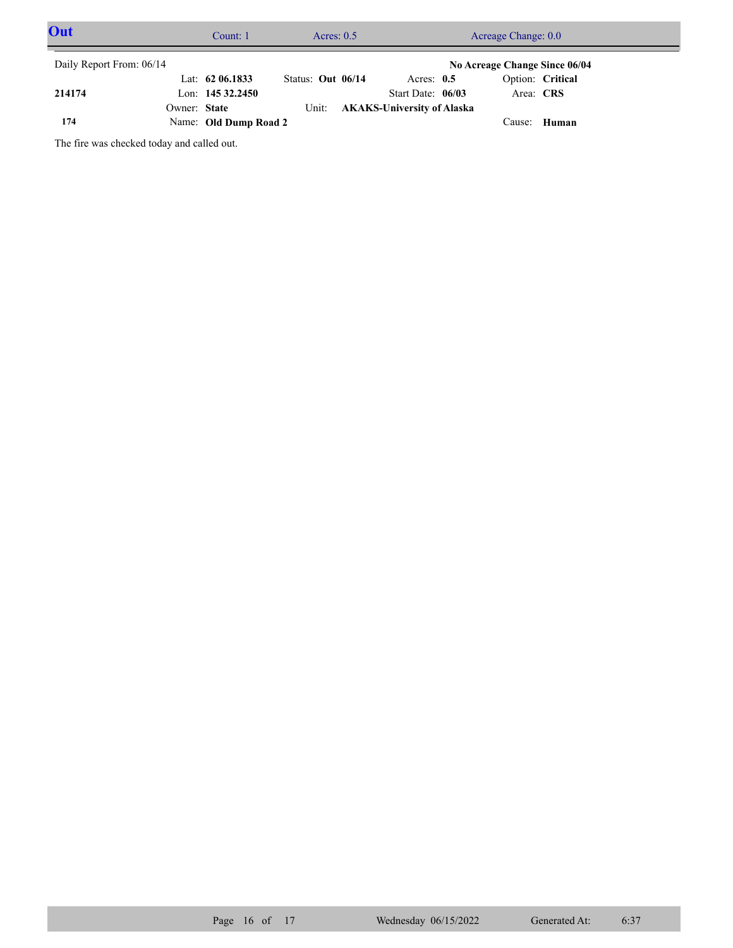| Out                      |              | Count: 1              | Acres: $0.5$      |  |  | Acreage Change: 0.0               |  |           |                               |  |
|--------------------------|--------------|-----------------------|-------------------|--|--|-----------------------------------|--|-----------|-------------------------------|--|
| Daily Report From: 06/14 |              |                       |                   |  |  |                                   |  |           | No Acreage Change Since 06/04 |  |
|                          |              | Lat: $62\,06.1833$    | Status: Out 06/14 |  |  | Acres: $0.5$                      |  |           | Option: Critical              |  |
| 214174                   |              | Lon: $14532.2450$     |                   |  |  | Start Date: 06/03                 |  | Area: CRS |                               |  |
|                          | Owner: State |                       | Unit:             |  |  | <b>AKAKS-University of Alaska</b> |  |           |                               |  |
| 174                      |              | Name: Old Dump Road 2 |                   |  |  |                                   |  |           | Cause: Human                  |  |

The fire was checked today and called out.